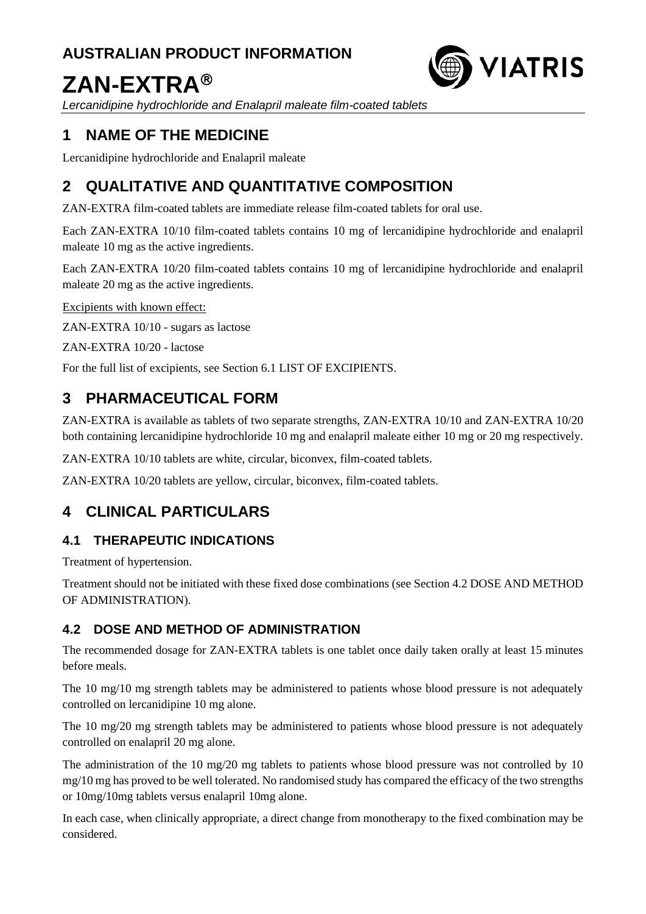# **AUSTRALIAN PRODUCT INFORMATION**

# **ZAN-EXTRA**



*Lercanidipine hydrochloride and Enalapril maleate film-coated tablets*

# **1 NAME OF THE MEDICINE**

Lercanidipine hydrochloride and Enalapril maleate

# **2 QUALITATIVE AND QUANTITATIVE COMPOSITION**

ZAN-EXTRA film-coated tablets are immediate release film-coated tablets for oral use.

Each ZAN-EXTRA 10/10 film-coated tablets contains 10 mg of lercanidipine hydrochloride and enalapril maleate 10 mg as the active ingredients.

Each ZAN-EXTRA 10/20 film-coated tablets contains 10 mg of lercanidipine hydrochloride and enalapril maleate 20 mg as the active ingredients.

Excipients with known effect:

ZAN-EXTRA 10/10 - sugars as lactose

ZAN-EXTRA 10/20 - lactose

For the full list of excipients, see Section 6.1 LIST OF EXCIPIENTS.

# **3 PHARMACEUTICAL FORM**

ZAN-EXTRA is available as tablets of two separate strengths, ZAN-EXTRA 10/10 and ZAN-EXTRA 10/20 both containing lercanidipine hydrochloride 10 mg and enalapril maleate either 10 mg or 20 mg respectively.

ZAN-EXTRA 10/10 tablets are white, circular, biconvex, film-coated tablets.

ZAN-EXTRA 10/20 tablets are yellow, circular, biconvex, film-coated tablets.

# **4 CLINICAL PARTICULARS**

## **4.1 THERAPEUTIC INDICATIONS**

Treatment of hypertension.

Treatment should not be initiated with these fixed dose combinations (see Section 4.2 DOSE AND METHOD OF ADMINISTRATION).

## **4.2 DOSE AND METHOD OF ADMINISTRATION**

The recommended dosage for ZAN-EXTRA tablets is one tablet once daily taken orally at least 15 minutes before meals.

The 10 mg/10 mg strength tablets may be administered to patients whose blood pressure is not adequately controlled on lercanidipine 10 mg alone.

The 10 mg/20 mg strength tablets may be administered to patients whose blood pressure is not adequately controlled on enalapril 20 mg alone.

The administration of the 10 mg/20 mg tablets to patients whose blood pressure was not controlled by 10 mg/10 mg has proved to be well tolerated. No randomised study has compared the efficacy of the two strengths or 10mg/10mg tablets versus enalapril 10mg alone.

In each case, when clinically appropriate, a direct change from monotherapy to the fixed combination may be considered.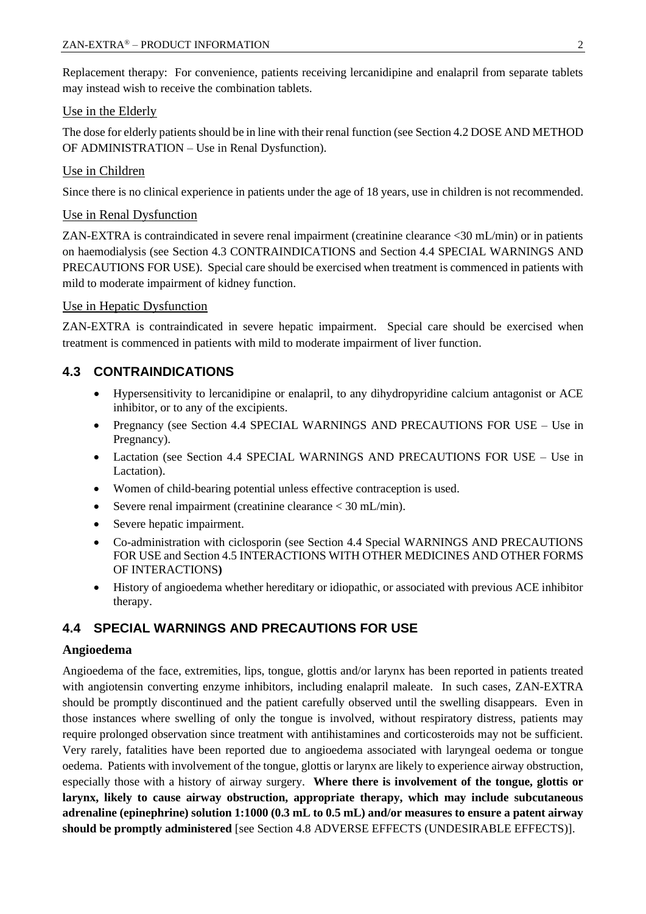Replacement therapy: For convenience, patients receiving lercanidipine and enalapril from separate tablets may instead wish to receive the combination tablets.

## Use in the Elderly

The dose for elderly patients should be in line with their renal function (see Section 4.2 DOSE AND METHOD OF ADMINISTRATION – Use in Renal Dysfunction).

## Use in Children

Since there is no clinical experience in patients under the age of 18 years, use in children is not recommended.

## Use in Renal Dysfunction

ZAN-EXTRA is contraindicated in severe renal impairment (creatinine clearance <30 mL/min) or in patients on haemodialysis (see Section 4.3 CONTRAINDICATIONS and Section 4.4 SPECIAL WARNINGS AND PRECAUTIONS FOR USE). Special care should be exercised when treatment is commenced in patients with mild to moderate impairment of kidney function.

## Use in Hepatic Dysfunction

ZAN-EXTRA is contraindicated in severe hepatic impairment. Special care should be exercised when treatment is commenced in patients with mild to moderate impairment of liver function.

## **4.3 CONTRAINDICATIONS**

- Hypersensitivity to lercanidipine or enalapril, to any dihydropyridine calcium antagonist or ACE inhibitor, or to any of the excipients.
- Pregnancy (see Section 4.4 SPECIAL WARNINGS AND PRECAUTIONS FOR USE Use in Pregnancy).
- Lactation (see Section 4.4 SPECIAL WARNINGS AND PRECAUTIONS FOR USE Use in Lactation).
- Women of child-bearing potential unless effective contraception is used.
- Severe renal impairment (creatinine clearance < 30 mL/min).
- Severe hepatic impairment.
- Co-administration with ciclosporin (see Section 4.4 Special WARNINGS AND PRECAUTIONS FOR USE and Section 4.5 INTERACTIONS WITH OTHER MEDICINES AND OTHER FORMS OF INTERACTIONS**)**
- History of angioedema whether hereditary or idiopathic, or associated with previous ACE inhibitor therapy.

## **4.4 SPECIAL WARNINGS AND PRECAUTIONS FOR USE**

#### **Angioedema**

Angioedema of the face, extremities, lips, tongue, glottis and/or larynx has been reported in patients treated with angiotensin converting enzyme inhibitors, including enalapril maleate. In such cases, ZAN-EXTRA should be promptly discontinued and the patient carefully observed until the swelling disappears. Even in those instances where swelling of only the tongue is involved, without respiratory distress, patients may require prolonged observation since treatment with antihistamines and corticosteroids may not be sufficient. Very rarely, fatalities have been reported due to angioedema associated with laryngeal oedema or tongue oedema. Patients with involvement of the tongue, glottis or larynx are likely to experience airway obstruction, especially those with a history of airway surgery. **Where there is involvement of the tongue, glottis or larynx, likely to cause airway obstruction, appropriate therapy, which may include subcutaneous adrenaline (epinephrine) solution 1:1000 (0.3 mL to 0.5 mL) and/or measures to ensure a patent airway should be promptly administered** [see Section 4.8 ADVERSE EFFECTS (UNDESIRABLE EFFECTS)].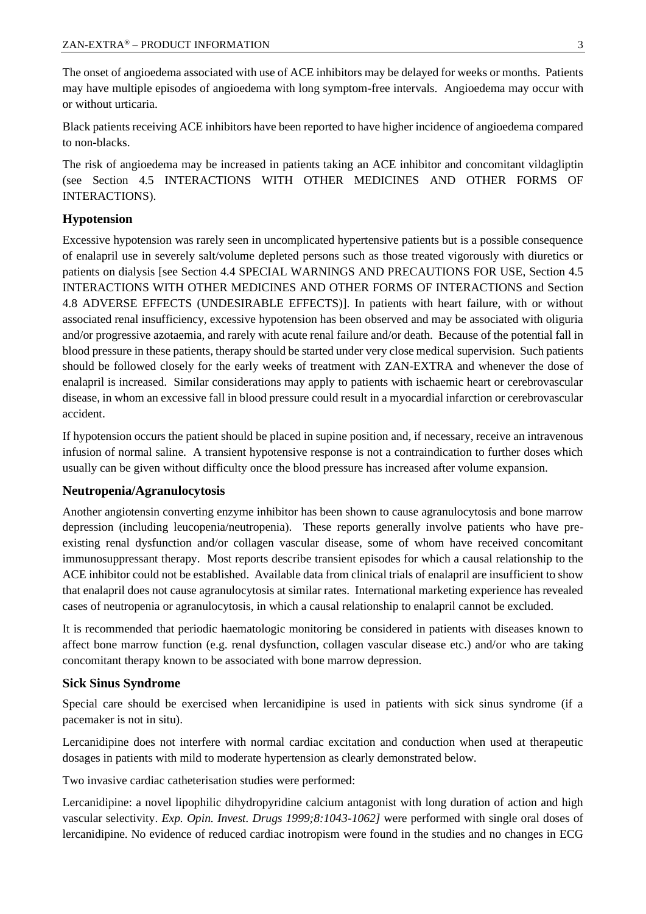The onset of angioedema associated with use of ACE inhibitors may be delayed for weeks or months. Patients may have multiple episodes of angioedema with long symptom-free intervals. Angioedema may occur with or without urticaria.

Black patients receiving ACE inhibitors have been reported to have higher incidence of angioedema compared to non-blacks.

The risk of angioedema may be increased in patients taking an ACE inhibitor and concomitant vildagliptin (see Section 4.5 INTERACTIONS WITH OTHER MEDICINES AND OTHER FORMS OF INTERACTIONS).

#### **Hypotension**

Excessive hypotension was rarely seen in uncomplicated hypertensive patients but is a possible consequence of enalapril use in severely salt/volume depleted persons such as those treated vigorously with diuretics or patients on dialysis [see Section 4.4 SPECIAL WARNINGS AND PRECAUTIONS FOR USE, Section 4.5 INTERACTIONS WITH OTHER MEDICINES AND OTHER FORMS OF INTERACTIONS and Section 4.8 ADVERSE EFFECTS (UNDESIRABLE EFFECTS)]. In patients with heart failure, with or without associated renal insufficiency, excessive hypotension has been observed and may be associated with oliguria and/or progressive azotaemia, and rarely with acute renal failure and/or death. Because of the potential fall in blood pressure in these patients, therapy should be started under very close medical supervision. Such patients should be followed closely for the early weeks of treatment with ZAN-EXTRA and whenever the dose of enalapril is increased. Similar considerations may apply to patients with ischaemic heart or cerebrovascular disease, in whom an excessive fall in blood pressure could result in a myocardial infarction or cerebrovascular accident.

If hypotension occurs the patient should be placed in supine position and, if necessary, receive an intravenous infusion of normal saline. A transient hypotensive response is not a contraindication to further doses which usually can be given without difficulty once the blood pressure has increased after volume expansion.

#### **Neutropenia/Agranulocytosis**

Another angiotensin converting enzyme inhibitor has been shown to cause agranulocytosis and bone marrow depression (including leucopenia/neutropenia). These reports generally involve patients who have preexisting renal dysfunction and/or collagen vascular disease, some of whom have received concomitant immunosuppressant therapy. Most reports describe transient episodes for which a causal relationship to the ACE inhibitor could not be established. Available data from clinical trials of enalapril are insufficient to show that enalapril does not cause agranulocytosis at similar rates. International marketing experience has revealed cases of neutropenia or agranulocytosis, in which a causal relationship to enalapril cannot be excluded.

It is recommended that periodic haematologic monitoring be considered in patients with diseases known to affect bone marrow function (e.g. renal dysfunction, collagen vascular disease etc.) and/or who are taking concomitant therapy known to be associated with bone marrow depression.

#### **Sick Sinus Syndrome**

Special care should be exercised when lercanidipine is used in patients with sick sinus syndrome (if a pacemaker is not in situ).

Lercanidipine does not interfere with normal cardiac excitation and conduction when used at therapeutic dosages in patients with mild to moderate hypertension as clearly demonstrated below.

Two invasive cardiac catheterisation studies were performed:

Lercanidipine: a novel lipophilic dihydropyridine calcium antagonist with long duration of action and high vascular selectivity. *Exp. Opin. Invest. Drugs 1999;8:1043-1062]* were performed with single oral doses of lercanidipine. No evidence of reduced cardiac inotropism were found in the studies and no changes in ECG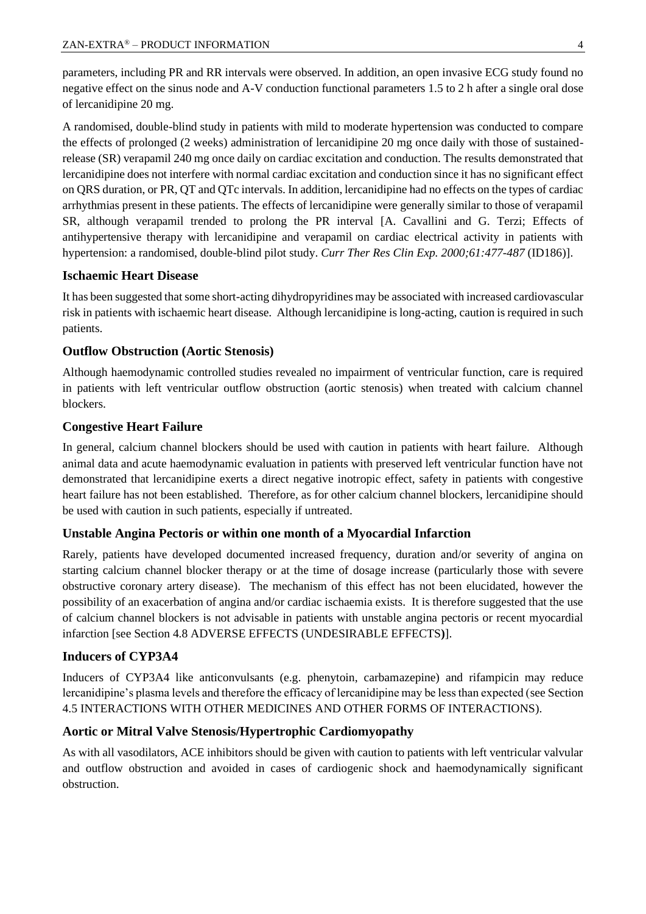parameters, including PR and RR intervals were observed. In addition, an open invasive ECG study found no negative effect on the sinus node and A-V conduction functional parameters 1.5 to 2 h after a single oral dose of lercanidipine 20 mg.

A randomised, double-blind study in patients with mild to moderate hypertension was conducted to compare the effects of prolonged (2 weeks) administration of lercanidipine 20 mg once daily with those of sustainedrelease (SR) verapamil 240 mg once daily on cardiac excitation and conduction. The results demonstrated that lercanidipine does not interfere with normal cardiac excitation and conduction since it has no significant effect on QRS duration, or PR, QT and QTc intervals. In addition, lercanidipine had no effects on the types of cardiac arrhythmias present in these patients. The effects of lercanidipine were generally similar to those of verapamil SR, although verapamil trended to prolong the PR interval [A. Cavallini and G. Terzi; Effects of antihypertensive therapy with lercanidipine and verapamil on cardiac electrical activity in patients with hypertension: a randomised, double-blind pilot study. *Curr Ther Res Clin Exp. 2000;61:477-487* (ID186)].

#### **Ischaemic Heart Disease**

It has been suggested that some short-acting dihydropyridines may be associated with increased cardiovascular risk in patients with ischaemic heart disease. Although lercanidipine is long-acting, caution is required in such patients.

#### **Outflow Obstruction (Aortic Stenosis)**

Although haemodynamic controlled studies revealed no impairment of ventricular function, care is required in patients with left ventricular outflow obstruction (aortic stenosis) when treated with calcium channel blockers.

#### **Congestive Heart Failure**

In general, calcium channel blockers should be used with caution in patients with heart failure. Although animal data and acute haemodynamic evaluation in patients with preserved left ventricular function have not demonstrated that lercanidipine exerts a direct negative inotropic effect, safety in patients with congestive heart failure has not been established. Therefore, as for other calcium channel blockers, lercanidipine should be used with caution in such patients, especially if untreated.

#### **Unstable Angina Pectoris or within one month of a Myocardial Infarction**

Rarely, patients have developed documented increased frequency, duration and/or severity of angina on starting calcium channel blocker therapy or at the time of dosage increase (particularly those with severe obstructive coronary artery disease). The mechanism of this effect has not been elucidated, however the possibility of an exacerbation of angina and/or cardiac ischaemia exists. It is therefore suggested that the use of calcium channel blockers is not advisable in patients with unstable angina pectoris or recent myocardial infarction [see Section 4.8 ADVERSE EFFECTS (UNDESIRABLE EFFECTS**)**].

#### **Inducers of CYP3A4**

Inducers of CYP3A4 like anticonvulsants (e.g. phenytoin, carbamazepine) and rifampicin may reduce lercanidipine's plasma levels and therefore the efficacy of lercanidipine may be less than expected (see Section 4.5 INTERACTIONS WITH OTHER MEDICINES AND OTHER FORMS OF INTERACTIONS).

#### **Aortic or Mitral Valve Stenosis/Hypertrophic Cardiomyopathy**

As with all vasodilators, ACE inhibitors should be given with caution to patients with left ventricular valvular and outflow obstruction and avoided in cases of cardiogenic shock and haemodynamically significant obstruction.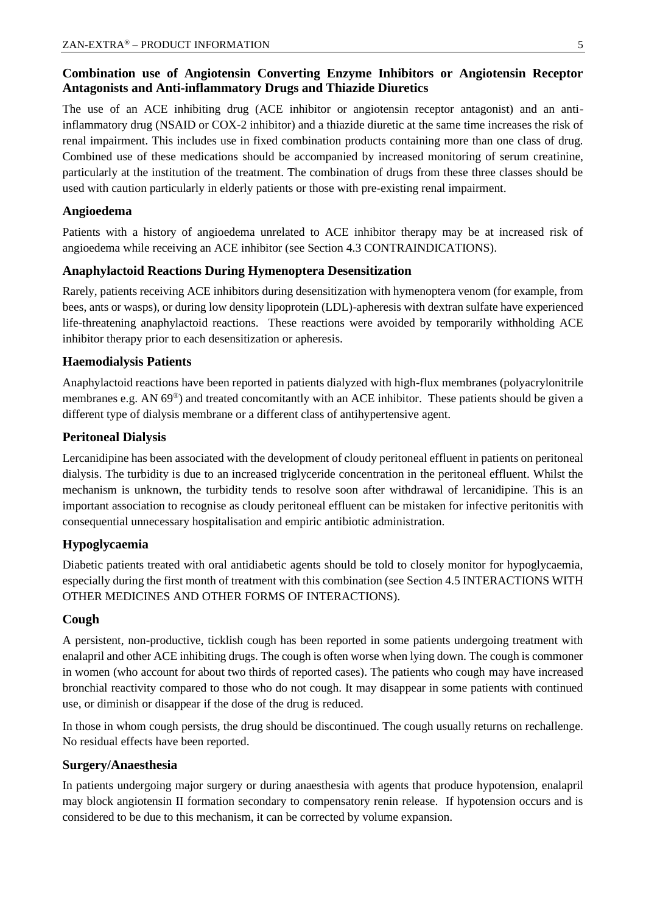## **Combination use of Angiotensin Converting Enzyme Inhibitors or Angiotensin Receptor Antagonists and Anti-inflammatory Drugs and Thiazide Diuretics**

The use of an ACE inhibiting drug (ACE inhibitor or angiotensin receptor antagonist) and an antiinflammatory drug (NSAID or COX-2 inhibitor) and a thiazide diuretic at the same time increases the risk of renal impairment. This includes use in fixed combination products containing more than one class of drug. Combined use of these medications should be accompanied by increased monitoring of serum creatinine, particularly at the institution of the treatment. The combination of drugs from these three classes should be used with caution particularly in elderly patients or those with pre-existing renal impairment.

#### **Angioedema**

Patients with a history of angioedema unrelated to ACE inhibitor therapy may be at increased risk of angioedema while receiving an ACE inhibitor (see Section 4.3 CONTRAINDICATIONS).

## **Anaphylactoid Reactions During Hymenoptera Desensitization**

Rarely, patients receiving ACE inhibitors during desensitization with hymenoptera venom (for example, from bees, ants or wasps), or during low density lipoprotein (LDL)-apheresis with dextran sulfate have experienced life-threatening anaphylactoid reactions. These reactions were avoided by temporarily withholding ACE inhibitor therapy prior to each desensitization or apheresis.

#### **Haemodialysis Patients**

Anaphylactoid reactions have been reported in patients dialyzed with high-flux membranes (polyacrylonitrile membranes e.g. AN 69®) and treated concomitantly with an ACE inhibitor. These patients should be given a different type of dialysis membrane or a different class of antihypertensive agent.

#### **Peritoneal Dialysis**

Lercanidipine has been associated with the development of cloudy peritoneal effluent in patients on peritoneal dialysis. The turbidity is due to an increased triglyceride concentration in the peritoneal effluent. Whilst the mechanism is unknown, the turbidity tends to resolve soon after withdrawal of lercanidipine. This is an important association to recognise as cloudy peritoneal effluent can be mistaken for infective peritonitis with consequential unnecessary hospitalisation and empiric antibiotic administration.

#### **Hypoglycaemia**

Diabetic patients treated with oral antidiabetic agents should be told to closely monitor for hypoglycaemia, especially during the first month of treatment with this combination (see Section 4.5 INTERACTIONS WITH OTHER MEDICINES AND OTHER FORMS OF INTERACTIONS).

#### **Cough**

A persistent, non-productive, ticklish cough has been reported in some patients undergoing treatment with enalapril and other ACE inhibiting drugs. The cough is often worse when lying down. The cough is commoner in women (who account for about two thirds of reported cases). The patients who cough may have increased bronchial reactivity compared to those who do not cough. It may disappear in some patients with continued use, or diminish or disappear if the dose of the drug is reduced.

In those in whom cough persists, the drug should be discontinued. The cough usually returns on rechallenge. No residual effects have been reported.

#### **Surgery/Anaesthesia**

In patients undergoing major surgery or during anaesthesia with agents that produce hypotension, enalapril may block angiotensin II formation secondary to compensatory renin release. If hypotension occurs and is considered to be due to this mechanism, it can be corrected by volume expansion.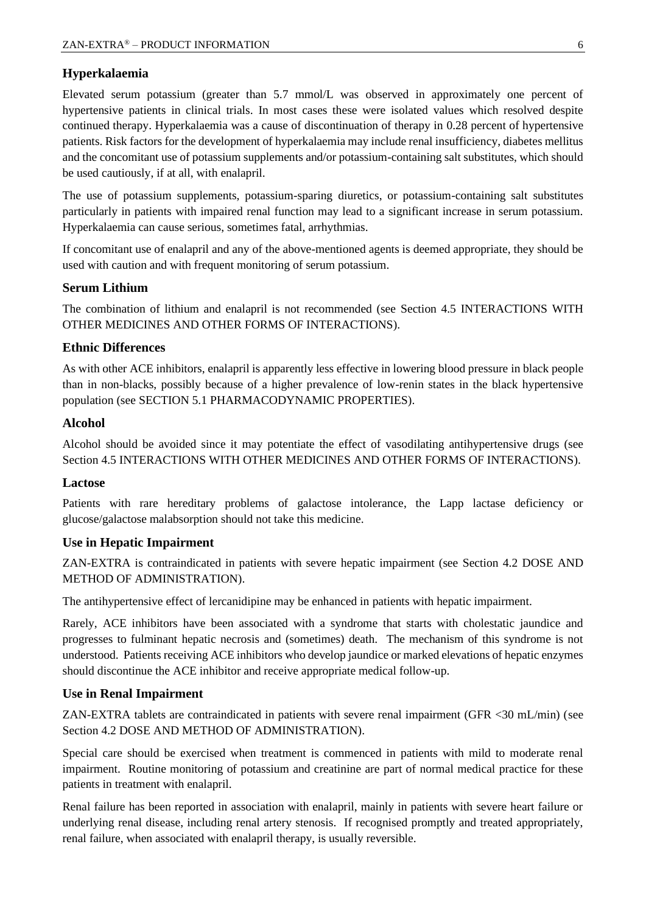#### **Hyperkalaemia**

Elevated serum potassium (greater than 5.7 mmol/L was observed in approximately one percent of hypertensive patients in clinical trials. In most cases these were isolated values which resolved despite continued therapy. Hyperkalaemia was a cause of discontinuation of therapy in 0.28 percent of hypertensive patients. Risk factors for the development of hyperkalaemia may include renal insufficiency, diabetes mellitus and the concomitant use of potassium supplements and/or potassium-containing salt substitutes, which should be used cautiously, if at all, with enalapril.

The use of potassium supplements, potassium-sparing diuretics, or potassium-containing salt substitutes particularly in patients with impaired renal function may lead to a significant increase in serum potassium. Hyperkalaemia can cause serious, sometimes fatal, arrhythmias.

If concomitant use of enalapril and any of the above-mentioned agents is deemed appropriate, they should be used with caution and with frequent monitoring of serum potassium.

#### **Serum Lithium**

The combination of lithium and enalapril is not recommended (see Section 4.5 INTERACTIONS WITH OTHER MEDICINES AND OTHER FORMS OF INTERACTIONS).

#### **Ethnic Differences**

As with other ACE inhibitors, enalapril is apparently less effective in lowering blood pressure in black people than in non-blacks, possibly because of a higher prevalence of low-renin states in the black hypertensive population (see SECTION 5.1 PHARMACODYNAMIC PROPERTIES).

#### **Alcohol**

Alcohol should be avoided since it may potentiate the effect of vasodilating antihypertensive drugs (see Section 4.5 INTERACTIONS WITH OTHER MEDICINES AND OTHER FORMS OF INTERACTIONS).

#### **Lactose**

Patients with rare hereditary problems of galactose intolerance, the Lapp lactase deficiency or glucose/galactose malabsorption should not take this medicine.

#### **Use in Hepatic Impairment**

ZAN-EXTRA is contraindicated in patients with severe hepatic impairment (see Section 4.2 DOSE AND METHOD OF ADMINISTRATION).

The antihypertensive effect of lercanidipine may be enhanced in patients with hepatic impairment.

Rarely, ACE inhibitors have been associated with a syndrome that starts with cholestatic jaundice and progresses to fulminant hepatic necrosis and (sometimes) death. The mechanism of this syndrome is not understood. Patients receiving ACE inhibitors who develop jaundice or marked elevations of hepatic enzymes should discontinue the ACE inhibitor and receive appropriate medical follow-up.

#### **Use in Renal Impairment**

ZAN-EXTRA tablets are contraindicated in patients with severe renal impairment (GFR <30 mL/min) (see Section 4.2 DOSE AND METHOD OF ADMINISTRATION).

Special care should be exercised when treatment is commenced in patients with mild to moderate renal impairment. Routine monitoring of potassium and creatinine are part of normal medical practice for these patients in treatment with enalapril.

Renal failure has been reported in association with enalapril, mainly in patients with severe heart failure or underlying renal disease, including renal artery stenosis. If recognised promptly and treated appropriately, renal failure, when associated with enalapril therapy, is usually reversible.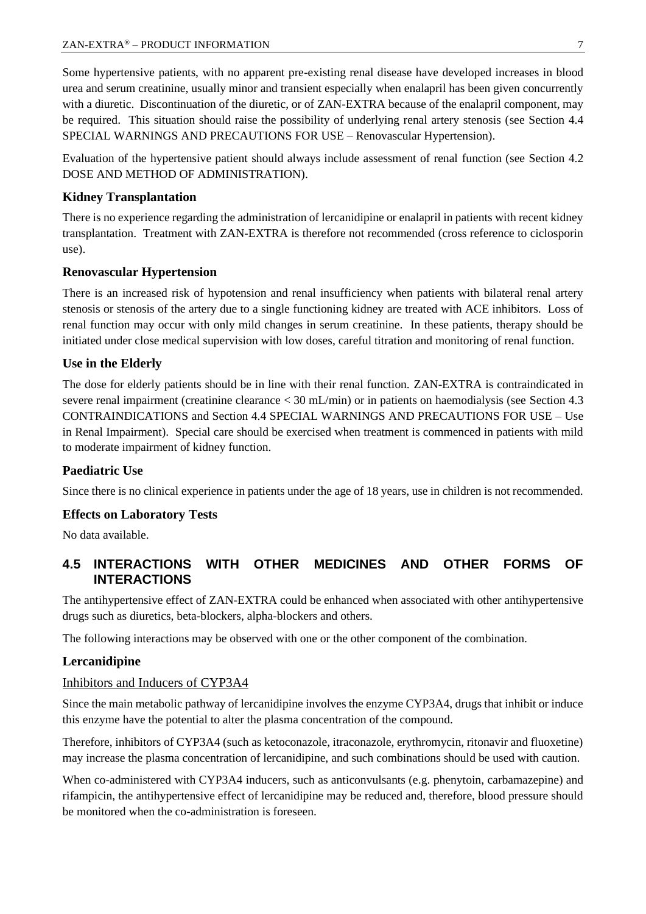Some hypertensive patients, with no apparent pre-existing renal disease have developed increases in blood urea and serum creatinine, usually minor and transient especially when enalapril has been given concurrently with a diuretic. Discontinuation of the diuretic, or of ZAN-EXTRA because of the enalapril component, may be required. This situation should raise the possibility of underlying renal artery stenosis (see Section 4.4 SPECIAL WARNINGS AND PRECAUTIONS FOR USE – Renovascular Hypertension).

Evaluation of the hypertensive patient should always include assessment of renal function (see Section 4.2 DOSE AND METHOD OF ADMINISTRATION).

## **Kidney Transplantation**

There is no experience regarding the administration of lercanidipine or enalapril in patients with recent kidney transplantation. Treatment with ZAN-EXTRA is therefore not recommended (cross reference to ciclosporin use).

## **Renovascular Hypertension**

There is an increased risk of hypotension and renal insufficiency when patients with bilateral renal artery stenosis or stenosis of the artery due to a single functioning kidney are treated with ACE inhibitors. Loss of renal function may occur with only mild changes in serum creatinine. In these patients, therapy should be initiated under close medical supervision with low doses, careful titration and monitoring of renal function.

## **Use in the Elderly**

The dose for elderly patients should be in line with their renal function. ZAN-EXTRA is contraindicated in severe renal impairment (creatinine clearance < 30 mL/min) or in patients on haemodialysis (see Section 4.3 CONTRAINDICATIONS and Section 4.4 SPECIAL WARNINGS AND PRECAUTIONS FOR USE – Use in Renal Impairment). Special care should be exercised when treatment is commenced in patients with mild to moderate impairment of kidney function.

## **Paediatric Use**

Since there is no clinical experience in patients under the age of 18 years, use in children is not recommended.

#### **Effects on Laboratory Tests**

No data available.

## **4.5 INTERACTIONS WITH OTHER MEDICINES AND OTHER FORMS OF INTERACTIONS**

The antihypertensive effect of ZAN-EXTRA could be enhanced when associated with other antihypertensive drugs such as diuretics, beta-blockers, alpha-blockers and others.

The following interactions may be observed with one or the other component of the combination.

#### **Lercanidipine**

#### Inhibitors and Inducers of CYP3A4

Since the main metabolic pathway of lercanidipine involves the enzyme CYP3A4, drugs that inhibit or induce this enzyme have the potential to alter the plasma concentration of the compound.

Therefore, inhibitors of CYP3A4 (such as ketoconazole, itraconazole, erythromycin, ritonavir and fluoxetine) may increase the plasma concentration of lercanidipine, and such combinations should be used with caution.

When co-administered with CYP3A4 inducers, such as anticonvulsants (e.g. phenytoin, carbamazepine) and rifampicin, the antihypertensive effect of lercanidipine may be reduced and, therefore, blood pressure should be monitored when the co-administration is foreseen.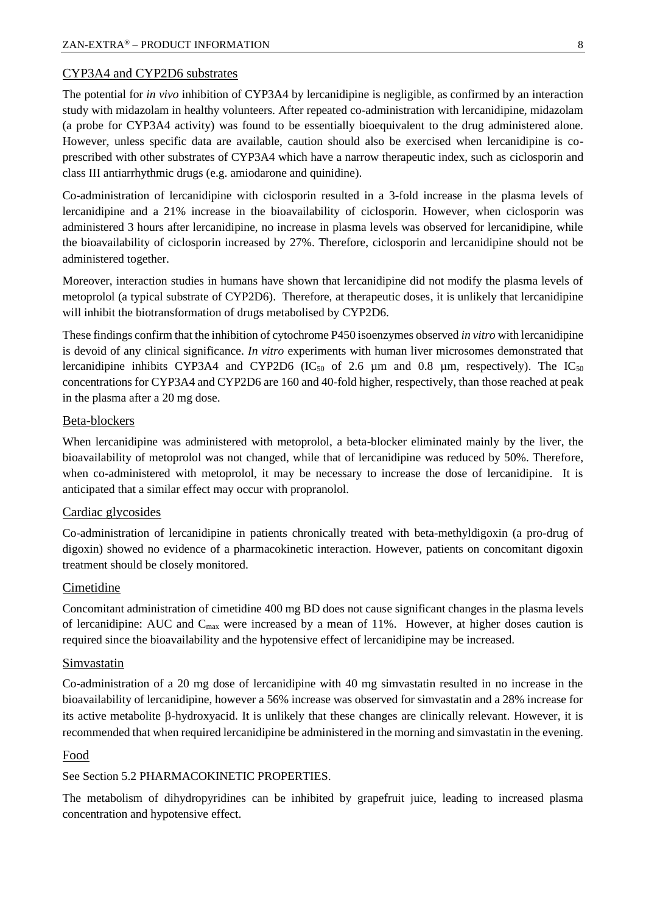#### CYP3A4 and CYP2D6 substrates

The potential for *in vivo* inhibition of CYP3A4 by lercanidipine is negligible, as confirmed by an interaction study with midazolam in healthy volunteers. After repeated co-administration with lercanidipine, midazolam (a probe for CYP3A4 activity) was found to be essentially bioequivalent to the drug administered alone. However, unless specific data are available, caution should also be exercised when lercanidipine is coprescribed with other substrates of CYP3A4 which have a narrow therapeutic index, such as ciclosporin and class III antiarrhythmic drugs (e.g. amiodarone and quinidine).

Co-administration of lercanidipine with ciclosporin resulted in a 3-fold increase in the plasma levels of lercanidipine and a 21% increase in the bioavailability of ciclosporin. However, when ciclosporin was administered 3 hours after lercanidipine, no increase in plasma levels was observed for lercanidipine, while the bioavailability of ciclosporin increased by 27%. Therefore, ciclosporin and lercanidipine should not be administered together.

Moreover, interaction studies in humans have shown that lercanidipine did not modify the plasma levels of metoprolol (a typical substrate of CYP2D6). Therefore, at therapeutic doses, it is unlikely that lercanidipine will inhibit the biotransformation of drugs metabolised by CYP2D6.

These findings confirm that the inhibition of cytochrome P450 isoenzymes observed *in vitro* with lercanidipine is devoid of any clinical significance. *In vitro* experiments with human liver microsomes demonstrated that lercanidipine inhibits CYP3A4 and CYP2D6 (IC<sub>50</sub> of 2.6  $\mu$ m and 0.8  $\mu$ m, respectively). The IC<sub>50</sub> concentrations for CYP3A4 and CYP2D6 are 160 and 40-fold higher, respectively, than those reached at peak in the plasma after a 20 mg dose.

#### Beta-blockers

When lercanidipine was administered with metoprolol, a beta-blocker eliminated mainly by the liver, the bioavailability of metoprolol was not changed, while that of lercanidipine was reduced by 50%. Therefore, when co-administered with metoprolol, it may be necessary to increase the dose of lercanidipine. It is anticipated that a similar effect may occur with propranolol.

#### Cardiac glycosides

Co-administration of lercanidipine in patients chronically treated with beta-methyldigoxin (a pro-drug of digoxin) showed no evidence of a pharmacokinetic interaction. However, patients on concomitant digoxin treatment should be closely monitored.

#### Cimetidine

Concomitant administration of cimetidine 400 mg BD does not cause significant changes in the plasma levels of lercanidipine: AUC and  $C_{\text{max}}$  were increased by a mean of 11%. However, at higher doses caution is required since the bioavailability and the hypotensive effect of lercanidipine may be increased.

#### Simvastatin

Co-administration of a 20 mg dose of lercanidipine with 40 mg simvastatin resulted in no increase in the bioavailability of lercanidipine, however a 56% increase was observed for simvastatin and a 28% increase for its active metabolite  $\beta$ -hydroxyacid. It is unlikely that these changes are clinically relevant. However, it is recommended that when required lercanidipine be administered in the morning and simvastatin in the evening.

#### Food

#### See Section 5.2 PHARMACOKINETIC PROPERTIES.

The metabolism of dihydropyridines can be inhibited by grapefruit juice, leading to increased plasma concentration and hypotensive effect.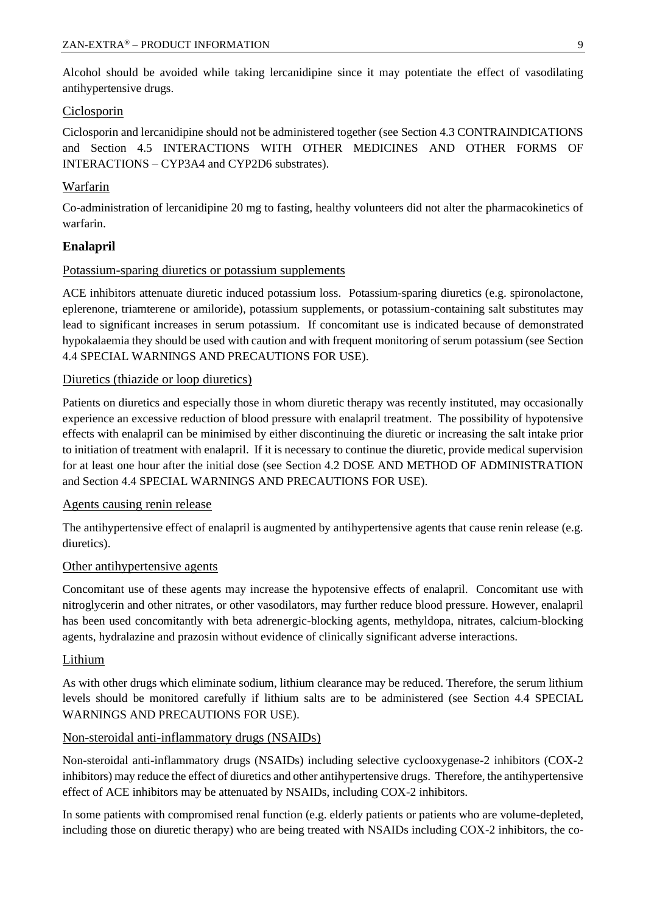Alcohol should be avoided while taking lercanidipine since it may potentiate the effect of vasodilating antihypertensive drugs.

#### Ciclosporin

Ciclosporin and lercanidipine should not be administered together (see Section 4.3 CONTRAINDICATIONS and Section 4.5 INTERACTIONS WITH OTHER MEDICINES AND OTHER FORMS OF INTERACTIONS – CYP3A4 and CYP2D6 substrates).

## Warfarin

Co-administration of lercanidipine 20 mg to fasting, healthy volunteers did not alter the pharmacokinetics of warfarin.

## **Enalapril**

#### Potassium-sparing diuretics or potassium supplements

ACE inhibitors attenuate diuretic induced potassium loss. Potassium-sparing diuretics (e.g. spironolactone, eplerenone, triamterene or amiloride), potassium supplements, or potassium-containing salt substitutes may lead to significant increases in serum potassium. If concomitant use is indicated because of demonstrated hypokalaemia they should be used with caution and with frequent monitoring of serum potassium (see Section 4.4 SPECIAL WARNINGS AND PRECAUTIONS FOR USE).

#### Diuretics (thiazide or loop diuretics)

Patients on diuretics and especially those in whom diuretic therapy was recently instituted, may occasionally experience an excessive reduction of blood pressure with enalapril treatment. The possibility of hypotensive effects with enalapril can be minimised by either discontinuing the diuretic or increasing the salt intake prior to initiation of treatment with enalapril. If it is necessary to continue the diuretic, provide medical supervision for at least one hour after the initial dose (see Section 4.2 DOSE AND METHOD OF ADMINISTRATION and Section 4.4 SPECIAL WARNINGS AND PRECAUTIONS FOR USE).

#### Agents causing renin release

The antihypertensive effect of enalapril is augmented by antihypertensive agents that cause renin release (e.g. diuretics).

#### Other antihypertensive agents

Concomitant use of these agents may increase the hypotensive effects of enalapril. Concomitant use with nitroglycerin and other nitrates, or other vasodilators, may further reduce blood pressure. However, enalapril has been used concomitantly with beta adrenergic-blocking agents, methyldopa, nitrates, calcium-blocking agents, hydralazine and prazosin without evidence of clinically significant adverse interactions.

#### Lithium

As with other drugs which eliminate sodium, lithium clearance may be reduced. Therefore, the serum lithium levels should be monitored carefully if lithium salts are to be administered (see Section 4.4 SPECIAL WARNINGS AND PRECAUTIONS FOR USE).

#### Non-steroidal anti-inflammatory drugs (NSAIDs)

Non-steroidal anti-inflammatory drugs (NSAIDs) including selective cyclooxygenase-2 inhibitors (COX-2 inhibitors) may reduce the effect of diuretics and other antihypertensive drugs. Therefore, the antihypertensive effect of ACE inhibitors may be attenuated by NSAIDs, including COX-2 inhibitors.

In some patients with compromised renal function (e.g. elderly patients or patients who are volume-depleted, including those on diuretic therapy) who are being treated with NSAIDs including COX-2 inhibitors, the co-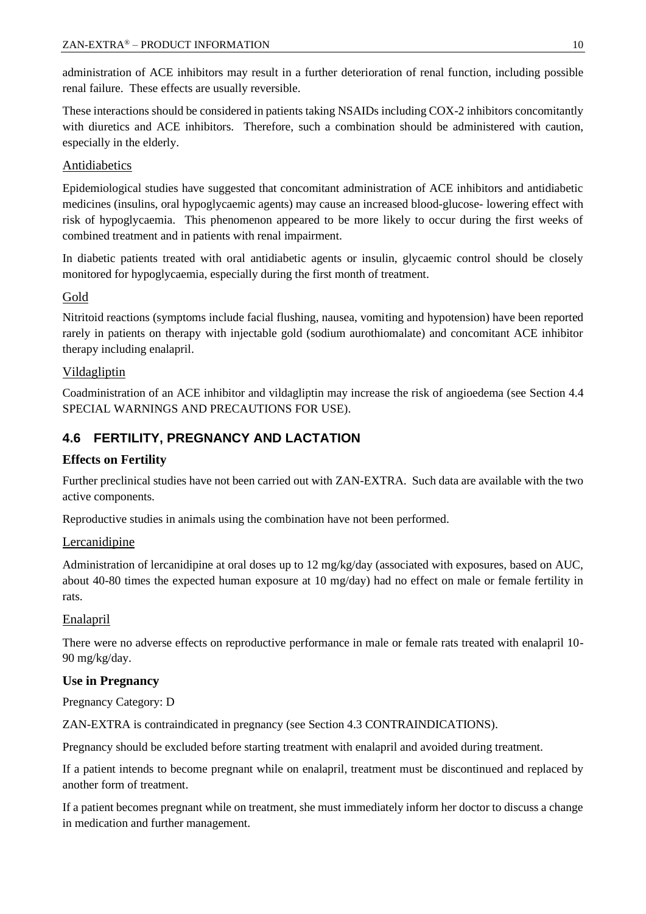administration of ACE inhibitors may result in a further deterioration of renal function, including possible renal failure. These effects are usually reversible.

These interactions should be considered in patients taking NSAIDs including COX-2 inhibitors concomitantly with diuretics and ACE inhibitors. Therefore, such a combination should be administered with caution, especially in the elderly.

## Antidiabetics

Epidemiological studies have suggested that concomitant administration of ACE inhibitors and antidiabetic medicines (insulins, oral hypoglycaemic agents) may cause an increased blood-glucose- lowering effect with risk of hypoglycaemia. This phenomenon appeared to be more likely to occur during the first weeks of combined treatment and in patients with renal impairment.

In diabetic patients treated with oral antidiabetic agents or insulin, glycaemic control should be closely monitored for hypoglycaemia, especially during the first month of treatment.

## Gold

Nitritoid reactions (symptoms include facial flushing, nausea, vomiting and hypotension) have been reported rarely in patients on therapy with injectable gold (sodium aurothiomalate) and concomitant ACE inhibitor therapy including enalapril.

## **Vildagliptin**

Coadministration of an ACE inhibitor and vildagliptin may increase the risk of angioedema (see Section 4.4 SPECIAL WARNINGS AND PRECAUTIONS FOR USE).

## **4.6 FERTILITY, PREGNANCY AND LACTATION**

#### **Effects on Fertility**

Further preclinical studies have not been carried out with ZAN-EXTRA. Such data are available with the two active components.

Reproductive studies in animals using the combination have not been performed.

#### Lercanidipine

Administration of lercanidipine at oral doses up to 12 mg/kg/day (associated with exposures, based on AUC, about 40-80 times the expected human exposure at 10 mg/day) had no effect on male or female fertility in rats.

#### Enalapril

There were no adverse effects on reproductive performance in male or female rats treated with enalapril 10- 90 mg/kg/day.

#### **Use in Pregnancy**

Pregnancy Category: D

ZAN-EXTRA is contraindicated in pregnancy (see Section 4.3 CONTRAINDICATIONS).

Pregnancy should be excluded before starting treatment with enalapril and avoided during treatment.

If a patient intends to become pregnant while on enalapril, treatment must be discontinued and replaced by another form of treatment.

If a patient becomes pregnant while on treatment, she must immediately inform her doctor to discuss a change in medication and further management.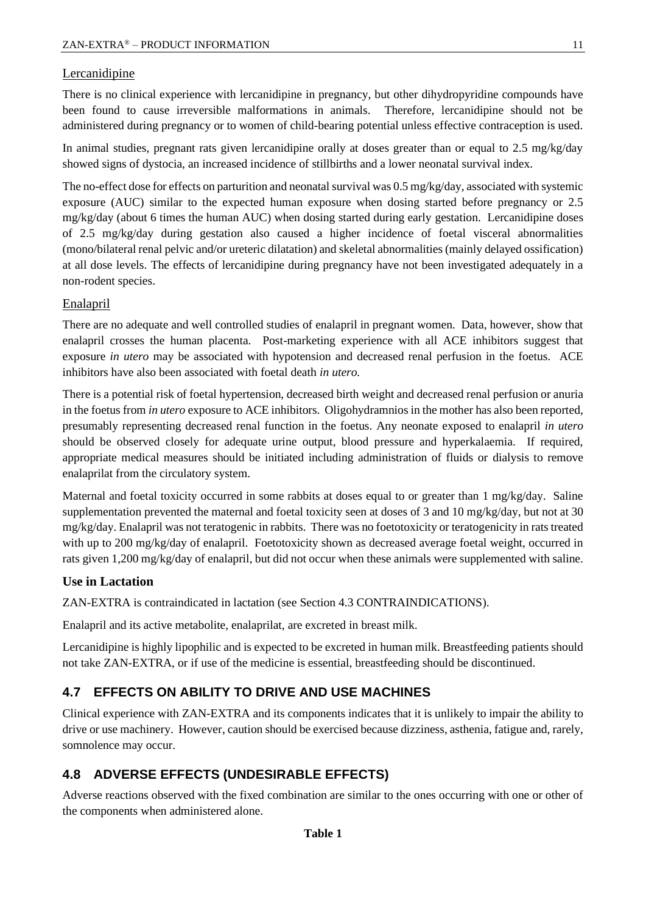#### Lercanidipine

There is no clinical experience with lercanidipine in pregnancy, but other dihydropyridine compounds have been found to cause irreversible malformations in animals. Therefore, lercanidipine should not be administered during pregnancy or to women of child-bearing potential unless effective contraception is used.

In animal studies, pregnant rats given lercanidipine orally at doses greater than or equal to 2.5 mg/kg/day showed signs of dystocia, an increased incidence of stillbirths and a lower neonatal survival index.

The no-effect dose for effects on parturition and neonatal survival was 0.5 mg/kg/day, associated with systemic exposure (AUC) similar to the expected human exposure when dosing started before pregnancy or 2.5 mg/kg/day (about 6 times the human AUC) when dosing started during early gestation. Lercanidipine doses of 2.5 mg/kg/day during gestation also caused a higher incidence of foetal visceral abnormalities (mono/bilateral renal pelvic and/or ureteric dilatation) and skeletal abnormalities (mainly delayed ossification) at all dose levels. The effects of lercanidipine during pregnancy have not been investigated adequately in a non-rodent species.

#### Enalapril

There are no adequate and well controlled studies of enalapril in pregnant women. Data, however, show that enalapril crosses the human placenta. Post-marketing experience with all ACE inhibitors suggest that exposure *in utero* may be associated with hypotension and decreased renal perfusion in the foetus. ACE inhibitors have also been associated with foetal death *in utero.*

There is a potential risk of foetal hypertension, decreased birth weight and decreased renal perfusion or anuria in the foetus from *in utero* exposure to ACE inhibitors. Oligohydramnios in the mother has also been reported, presumably representing decreased renal function in the foetus. Any neonate exposed to enalapril *in utero* should be observed closely for adequate urine output, blood pressure and hyperkalaemia. If required, appropriate medical measures should be initiated including administration of fluids or dialysis to remove enalaprilat from the circulatory system.

Maternal and foetal toxicity occurred in some rabbits at doses equal to or greater than 1 mg/kg/day. Saline supplementation prevented the maternal and foetal toxicity seen at doses of 3 and 10 mg/kg/day, but not at 30 mg/kg/day. Enalapril was not teratogenic in rabbits. There was no foetotoxicity or teratogenicity in rats treated with up to 200 mg/kg/day of enalapril. Foetotoxicity shown as decreased average foetal weight, occurred in rats given 1,200 mg/kg/day of enalapril, but did not occur when these animals were supplemented with saline.

#### **Use in Lactation**

ZAN-EXTRA is contraindicated in lactation (see Section 4.3 CONTRAINDICATIONS).

Enalapril and its active metabolite, enalaprilat, are excreted in breast milk.

Lercanidipine is highly lipophilic and is expected to be excreted in human milk. Breastfeeding patients should not take ZAN-EXTRA, or if use of the medicine is essential, breastfeeding should be discontinued.

## **4.7 EFFECTS ON ABILITY TO DRIVE AND USE MACHINES**

Clinical experience with ZAN-EXTRA and its components indicates that it is unlikely to impair the ability to drive or use machinery. However, caution should be exercised because dizziness, asthenia, fatigue and, rarely, somnolence may occur.

## **4.8 ADVERSE EFFECTS (UNDESIRABLE EFFECTS)**

Adverse reactions observed with the fixed combination are similar to the ones occurring with one or other of the components when administered alone.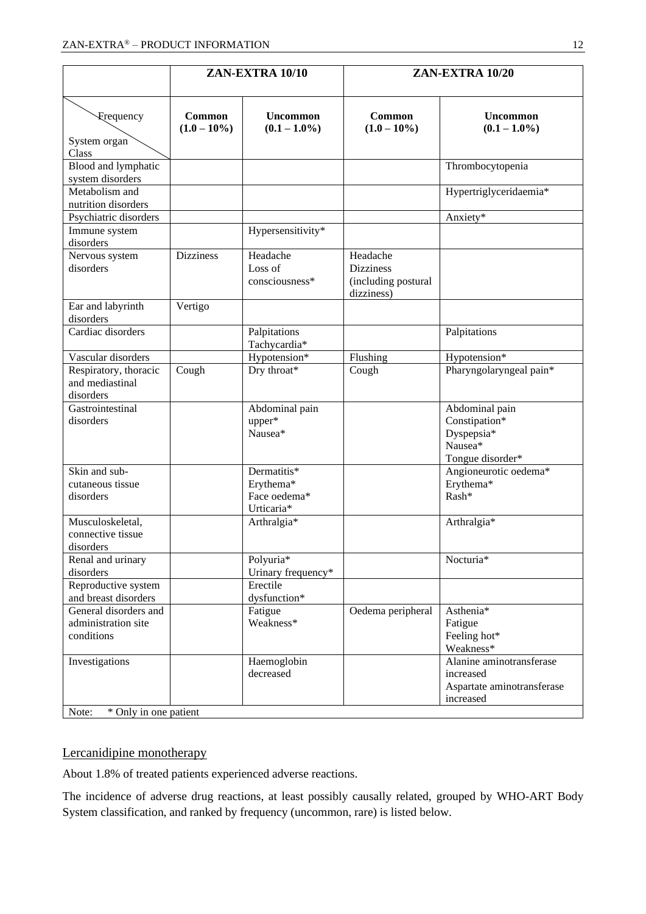|                                                            |                                 | ZAN-EXTRA 10/10                                        | ZAN-EXTRA 10/20                                                   |                                                                                  |  |  |
|------------------------------------------------------------|---------------------------------|--------------------------------------------------------|-------------------------------------------------------------------|----------------------------------------------------------------------------------|--|--|
| Frequency<br>System organ                                  | <b>Common</b><br>$(1.0 - 10\%)$ | <b>Uncommon</b><br>$(0.1 - 1.0\%)$                     | <b>Common</b><br>$(1.0 - 10\%)$                                   | <b>Uncommon</b><br>$(0.1 - 1.0\%)$                                               |  |  |
| Class<br>Blood and lymphatic<br>system disorders           |                                 |                                                        |                                                                   | Thrombocytopenia                                                                 |  |  |
| Metabolism and<br>nutrition disorders                      |                                 |                                                        |                                                                   | Hypertriglyceridaemia*                                                           |  |  |
| Psychiatric disorders                                      |                                 |                                                        |                                                                   | Anxiety*                                                                         |  |  |
| Immune system<br>disorders                                 |                                 | Hypersensitivity*                                      |                                                                   |                                                                                  |  |  |
| Nervous system<br>disorders                                | <b>Dizziness</b>                | Headache<br>Loss of<br>consciousness*                  | Headache<br><b>Dizziness</b><br>(including postural<br>dizziness) |                                                                                  |  |  |
| Ear and labyrinth<br>disorders                             | Vertigo                         |                                                        |                                                                   |                                                                                  |  |  |
| Cardiac disorders                                          |                                 | Palpitations<br>Tachycardia*                           |                                                                   | Palpitations                                                                     |  |  |
| Vascular disorders                                         |                                 | Hypotension*                                           | Flushing                                                          | Hypotension*                                                                     |  |  |
| Respiratory, thoracic<br>and mediastinal<br>disorders      | Cough                           | Dry throat*                                            | Cough                                                             | Pharyngolaryngeal pain*                                                          |  |  |
| Gastrointestinal<br>disorders                              |                                 | Abdominal pain<br>upper*<br>Nausea*                    |                                                                   | Abdominal pain<br>Constipation*<br>Dyspepsia*<br>Nausea*<br>Tongue disorder*     |  |  |
| Skin and sub-<br>cutaneous tissue<br>disorders             |                                 | Dermatitis*<br>Erythema*<br>Face oedema*<br>Urticaria* |                                                                   | Angioneurotic oedema*<br>Erythema*<br>Rash*                                      |  |  |
| Musculoskeletal,<br>connective tissue<br>disorders         |                                 | Arthralgia*                                            |                                                                   | Arthralgia*                                                                      |  |  |
| Renal and urinary<br>disorders                             |                                 | Polyuria*<br>Urinary frequency*                        |                                                                   | Nocturia*                                                                        |  |  |
| Reproductive system<br>and breast disorders                |                                 | Erectile<br>dysfunction*                               |                                                                   |                                                                                  |  |  |
| General disorders and<br>administration site<br>conditions |                                 | Fatigue<br>Weakness*                                   | Oedema peripheral                                                 | Asthenia*<br>Fatigue<br>Feeling hot*<br>Weakness*                                |  |  |
| Investigations                                             |                                 | Haemoglobin<br>decreased                               |                                                                   | Alanine aminotransferase<br>increased<br>Aspartate aminotransferase<br>increased |  |  |
| * Only in one patient<br>Note:                             |                                 |                                                        |                                                                   |                                                                                  |  |  |

#### Lercanidipine monotherapy

About 1.8% of treated patients experienced adverse reactions.

The incidence of adverse drug reactions, at least possibly causally related, grouped by WHO-ART Body System classification, and ranked by frequency (uncommon, rare) is listed below.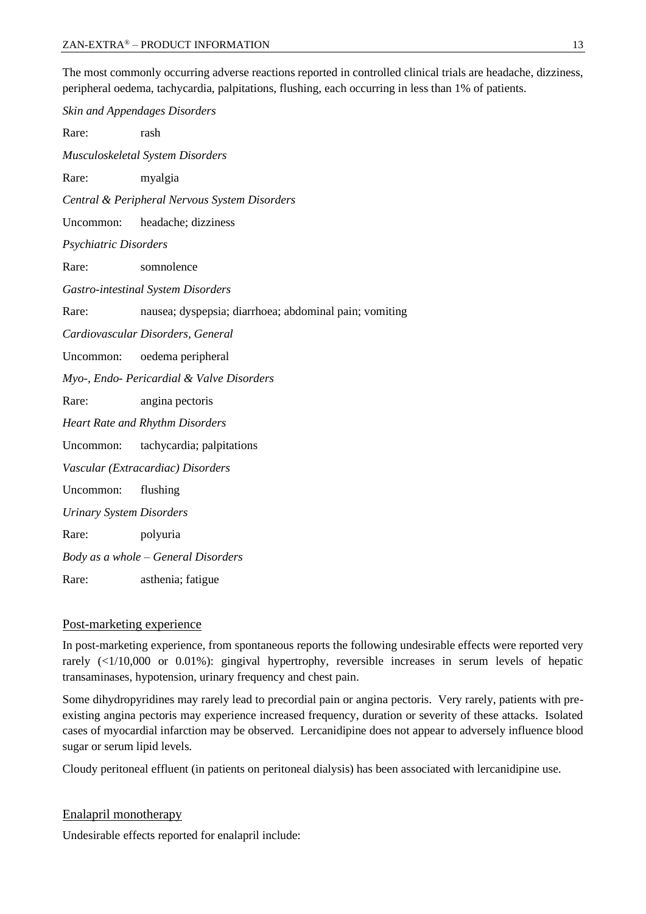The most commonly occurring adverse reactions reported in controlled clinical trials are headache, dizziness, peripheral oedema, tachycardia, palpitations, flushing, each occurring in less than 1% of patients.

*Skin and Appendages Disorders* Rare: rash *Musculoskeletal System Disorders* Rare: myalgia *Central & Peripheral Nervous System Disorders* Uncommon: headache; dizziness *Psychiatric Disorders* Rare: somnolence *Gastro-intestinal System Disorders* Rare: nausea; dyspepsia; diarrhoea; abdominal pain; vomiting *Cardiovascular Disorders, General* Uncommon: oedema peripheral *Myo-, Endo- Pericardial & Valve Disorders* Rare: angina pectoris *Heart Rate and Rhythm Disorders* Uncommon: tachycardia; palpitations *Vascular (Extracardiac) Disorders* Uncommon: flushing *Urinary System Disorders* Rare: polyuria *Body as a whole – General Disorders* Rare: asthenia; fatigue

#### Post-marketing experience

In post-marketing experience, from spontaneous reports the following undesirable effects were reported very rarely (<1/10,000 or 0.01%): gingival hypertrophy, reversible increases in serum levels of hepatic transaminases, hypotension, urinary frequency and chest pain.

Some dihydropyridines may rarely lead to precordial pain or angina pectoris. Very rarely, patients with preexisting angina pectoris may experience increased frequency, duration or severity of these attacks. Isolated cases of myocardial infarction may be observed. Lercanidipine does not appear to adversely influence blood sugar or serum lipid levels.

Cloudy peritoneal effluent (in patients on peritoneal dialysis) has been associated with lercanidipine use.

#### Enalapril monotherapy

Undesirable effects reported for enalapril include: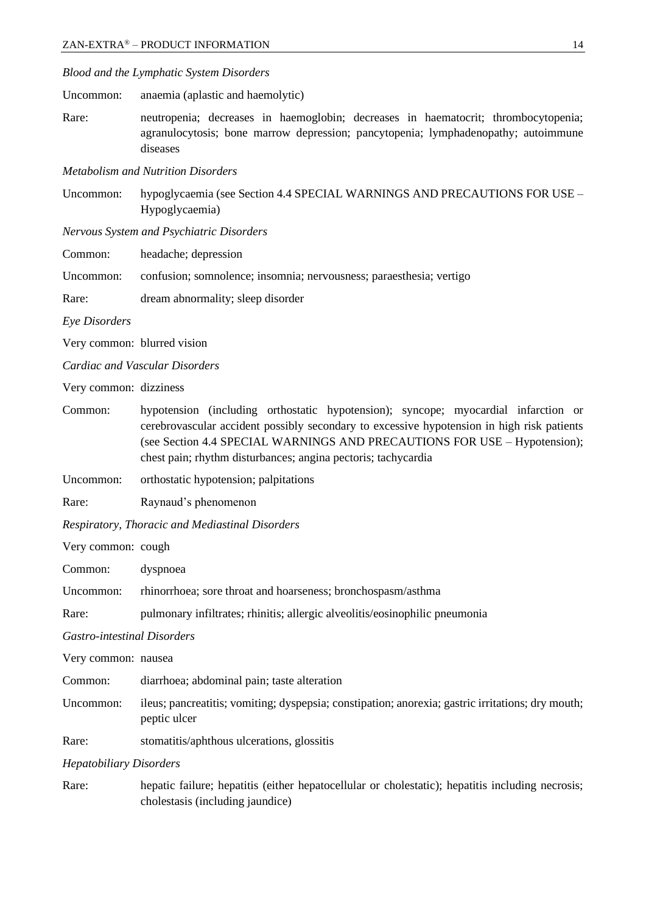| Blood and the Lymphatic System Disorders |  |  |  |
|------------------------------------------|--|--|--|
|------------------------------------------|--|--|--|

Uncommon: anaemia (aplastic and haemolytic)

Rare: neutropenia; decreases in haemoglobin; decreases in haematocrit; thrombocytopenia; agranulocytosis; bone marrow depression; pancytopenia; lymphadenopathy; autoimmune diseases

*Metabolism and Nutrition Disorders*

Uncommon: hypoglycaemia (see Section 4.4 SPECIAL WARNINGS AND PRECAUTIONS FOR USE – Hypoglycaemia)

*Nervous System and Psychiatric Disorders*

Common: headache; depression

Uncommon: confusion; somnolence; insomnia; nervousness; paraesthesia; vertigo

Rare: dream abnormality; sleep disorder

*Eye Disorders*

Very common: blurred vision

*Cardiac and Vascular Disorders*

Very common: dizziness

- Common: hypotension (including orthostatic hypotension); syncope; myocardial infarction or cerebrovascular accident possibly secondary to excessive hypotension in high risk patients (see Section 4.4 SPECIAL WARNINGS AND PRECAUTIONS FOR USE – Hypotension); chest pain; rhythm disturbances; angina pectoris; tachycardia
- Uncommon: orthostatic hypotension; palpitations
- Rare: Raynaud's phenomenon

*Respiratory, Thoracic and Mediastinal Disorders*

Very common: cough

Common: dyspnoea

Uncommon: rhinorrhoea; sore throat and hoarseness; bronchospasm/asthma

Rare: pulmonary infiltrates; rhinitis; allergic alveolitis/eosinophilic pneumonia

*Gastro-intestinal Disorders*

Very common: nausea Common: diarrhoea; abdominal pain; taste alteration Uncommon: ileus; pancreatitis; vomiting; dyspepsia; constipation; anorexia; gastric irritations; dry mouth; peptic ulcer Rare: stomatitis/aphthous ulcerations, glossitis

*Hepatobiliary Disorders*

Rare: hepatic failure; hepatitis (either hepatocellular or cholestatic); hepatitis including necrosis; cholestasis (including jaundice)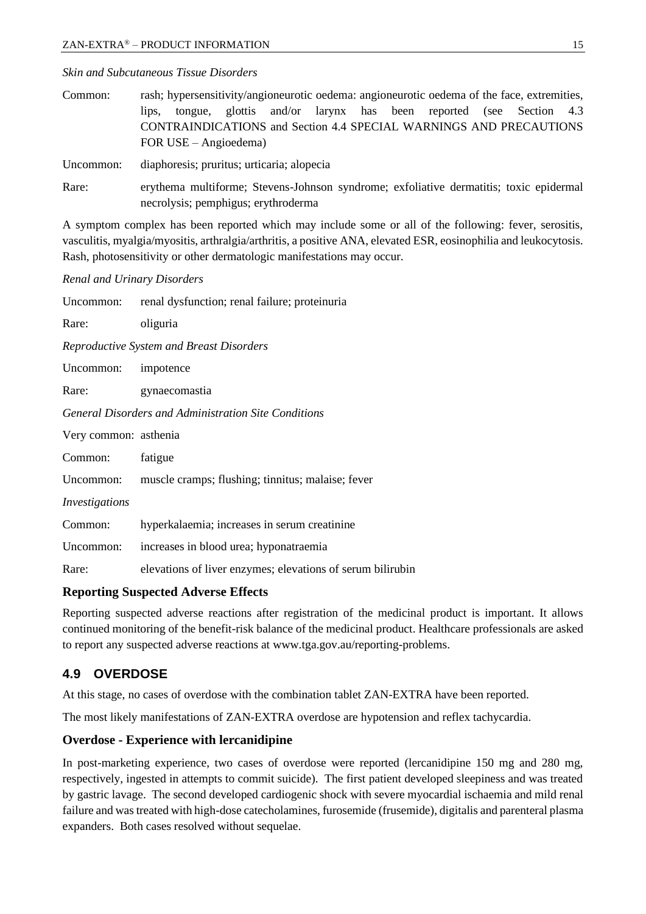*Skin and Subcutaneous Tissue Disorders*

| Common: |                         |  |  | rash; hypersensitivity/angioneurotic oedema: angioneurotic oedema of the face, extremities, |  |  |
|---------|-------------------------|--|--|---------------------------------------------------------------------------------------------|--|--|
|         |                         |  |  | lips, tongue, glottis and/or larynx has been reported (see Section 4.3)                     |  |  |
|         |                         |  |  | <b>CONTRAINDICATIONS</b> and Section 4.4 SPECIAL WARNINGS AND PRECAUTIONS                   |  |  |
|         | FOR USE $-$ Angioedema) |  |  |                                                                                             |  |  |

Uncommon: diaphoresis; pruritus; urticaria; alopecia

Rare: erythema multiforme; Stevens-Johnson syndrome; exfoliative dermatitis; toxic epidermal necrolysis; pemphigus; erythroderma

A symptom complex has been reported which may include some or all of the following: fever, serositis, vasculitis, myalgia/myositis, arthralgia/arthritis, a positive ANA, elevated ESR, eosinophilia and leukocytosis. Rash, photosensitivity or other dermatologic manifestations may occur.

#### *Renal and Urinary Disorders*

| Uncommon:             | renal dysfunction; renal failure; proteinuria               |  |  |  |  |
|-----------------------|-------------------------------------------------------------|--|--|--|--|
| Rare:                 | oliguria                                                    |  |  |  |  |
|                       | Reproductive System and Breast Disorders                    |  |  |  |  |
| Uncommon:             | impotence                                                   |  |  |  |  |
| Rare:                 | gynaecomastia                                               |  |  |  |  |
|                       | General Disorders and Administration Site Conditions        |  |  |  |  |
| Very common: asthenia |                                                             |  |  |  |  |
| Common:               | fatigue                                                     |  |  |  |  |
|                       | Uncommon: muscle cramps; flushing; tinnitus; malaise; fever |  |  |  |  |
| Investigations        |                                                             |  |  |  |  |
| Common:               | hyperkalaemia; increases in serum creatinine                |  |  |  |  |
| Uncommon:             | increases in blood urea; hyponatraemia                      |  |  |  |  |
| Rare:                 | elevations of liver enzymes; elevations of serum bilirubin  |  |  |  |  |

#### **Reporting Suspected Adverse Effects**

Reporting suspected adverse reactions after registration of the medicinal product is important. It allows continued monitoring of the benefit-risk balance of the medicinal product. Healthcare professionals are asked to report any suspected adverse reactions at [www.tga.gov.au/reporting-problems.](http://www.tga.gov.au/reporting-problems)

## **4.9 OVERDOSE**

At this stage, no cases of overdose with the combination tablet ZAN-EXTRA have been reported.

The most likely manifestations of ZAN-EXTRA overdose are hypotension and reflex tachycardia.

#### **Overdose - Experience with lercanidipine**

In post-marketing experience, two cases of overdose were reported (lercanidipine 150 mg and 280 mg, respectively, ingested in attempts to commit suicide). The first patient developed sleepiness and was treated by gastric lavage. The second developed cardiogenic shock with severe myocardial ischaemia and mild renal failure and was treated with high-dose catecholamines, furosemide (frusemide), digitalis and parenteral plasma expanders. Both cases resolved without sequelae.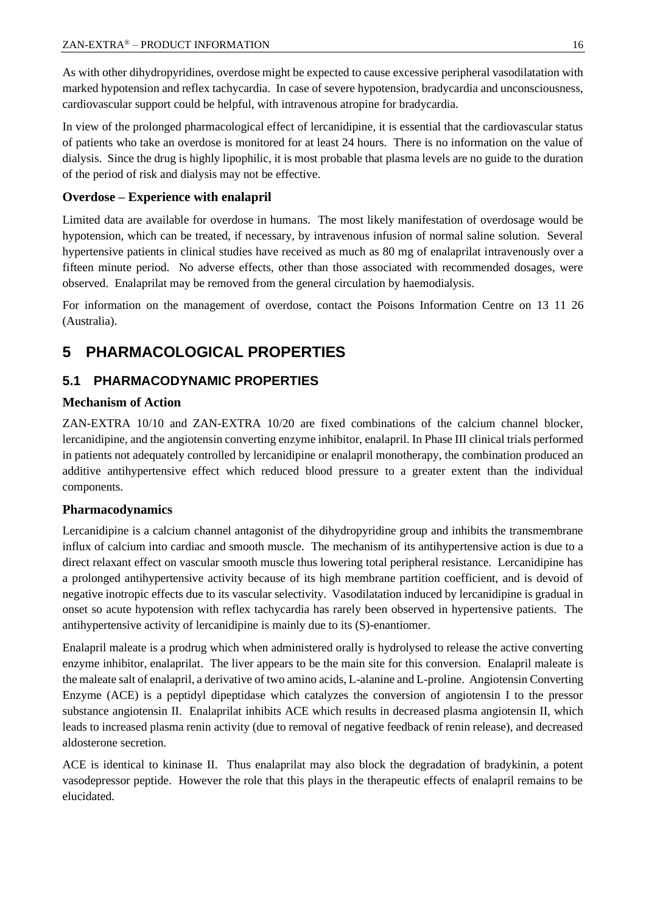As with other dihydropyridines, overdose might be expected to cause excessive peripheral vasodilatation with marked hypotension and reflex tachycardia. In case of severe hypotension, bradycardia and unconsciousness, cardiovascular support could be helpful, with intravenous atropine for bradycardia.

In view of the prolonged pharmacological effect of lercanidipine, it is essential that the cardiovascular status of patients who take an overdose is monitored for at least 24 hours. There is no information on the value of dialysis. Since the drug is highly lipophilic, it is most probable that plasma levels are no guide to the duration of the period of risk and dialysis may not be effective.

## **Overdose – Experience with enalapril**

Limited data are available for overdose in humans. The most likely manifestation of overdosage would be hypotension, which can be treated, if necessary, by intravenous infusion of normal saline solution. Several hypertensive patients in clinical studies have received as much as 80 mg of enalaprilat intravenously over a fifteen minute period. No adverse effects, other than those associated with recommended dosages, were observed. Enalaprilat may be removed from the general circulation by haemodialysis.

For information on the management of overdose, contact the Poisons Information Centre on 13 11 26 (Australia).

# **5 PHARMACOLOGICAL PROPERTIES**

## **5.1 PHARMACODYNAMIC PROPERTIES**

## **Mechanism of Action**

ZAN-EXTRA 10/10 and ZAN-EXTRA 10/20 are fixed combinations of the calcium channel blocker, lercanidipine, and the angiotensin converting enzyme inhibitor, enalapril. In Phase III clinical trials performed in patients not adequately controlled by lercanidipine or enalapril monotherapy, the combination produced an additive antihypertensive effect which reduced blood pressure to a greater extent than the individual components.

#### **Pharmacodynamics**

Lercanidipine is a calcium channel antagonist of the dihydropyridine group and inhibits the transmembrane influx of calcium into cardiac and smooth muscle. The mechanism of its antihypertensive action is due to a direct relaxant effect on vascular smooth muscle thus lowering total peripheral resistance. Lercanidipine has a prolonged antihypertensive activity because of its high membrane partition coefficient, and is devoid of negative inotropic effects due to its vascular selectivity. Vasodilatation induced by lercanidipine is gradual in onset so acute hypotension with reflex tachycardia has rarely been observed in hypertensive patients. The antihypertensive activity of lercanidipine is mainly due to its (S)-enantiomer.

Enalapril maleate is a prodrug which when administered orally is hydrolysed to release the active converting enzyme inhibitor, enalaprilat. The liver appears to be the main site for this conversion. Enalapril maleate is the maleate salt of enalapril, a derivative of two amino acids, L-alanine and L-proline. Angiotensin Converting Enzyme (ACE) is a peptidyl dipeptidase which catalyzes the conversion of angiotensin I to the pressor substance angiotensin II. Enalaprilat inhibits ACE which results in decreased plasma angiotensin II, which leads to increased plasma renin activity (due to removal of negative feedback of renin release), and decreased aldosterone secretion.

ACE is identical to kininase II. Thus enalaprilat may also block the degradation of bradykinin, a potent vasodepressor peptide. However the role that this plays in the therapeutic effects of enalapril remains to be elucidated.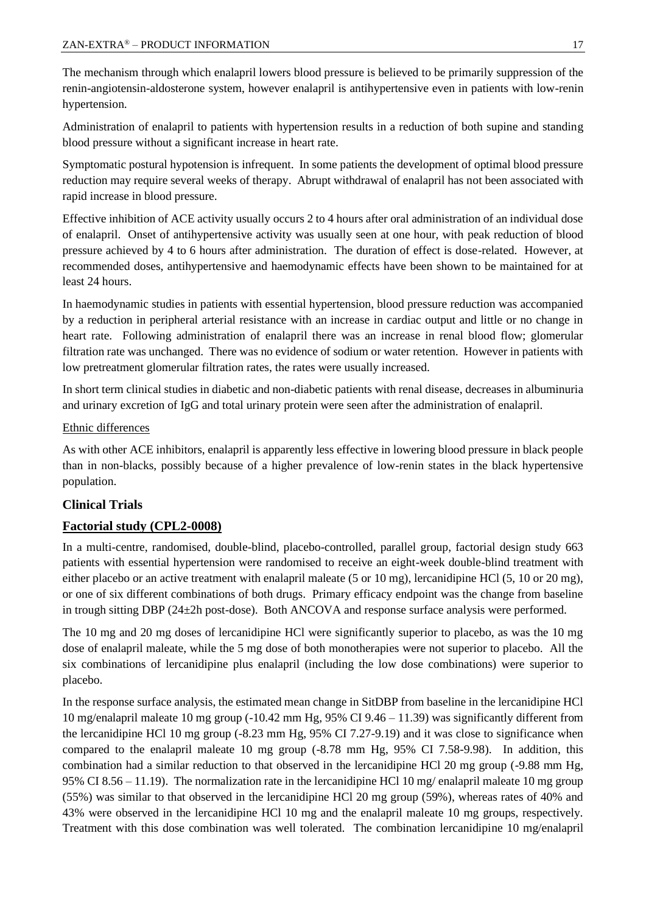The mechanism through which enalapril lowers blood pressure is believed to be primarily suppression of the renin-angiotensin-aldosterone system, however enalapril is antihypertensive even in patients with low-renin hypertension.

Administration of enalapril to patients with hypertension results in a reduction of both supine and standing blood pressure without a significant increase in heart rate.

Symptomatic postural hypotension is infrequent. In some patients the development of optimal blood pressure reduction may require several weeks of therapy. Abrupt withdrawal of enalapril has not been associated with rapid increase in blood pressure.

Effective inhibition of ACE activity usually occurs 2 to 4 hours after oral administration of an individual dose of enalapril. Onset of antihypertensive activity was usually seen at one hour, with peak reduction of blood pressure achieved by 4 to 6 hours after administration. The duration of effect is dose-related. However, at recommended doses, antihypertensive and haemodynamic effects have been shown to be maintained for at least 24 hours.

In haemodynamic studies in patients with essential hypertension, blood pressure reduction was accompanied by a reduction in peripheral arterial resistance with an increase in cardiac output and little or no change in heart rate. Following administration of enalapril there was an increase in renal blood flow; glomerular filtration rate was unchanged. There was no evidence of sodium or water retention. However in patients with low pretreatment glomerular filtration rates, the rates were usually increased.

In short term clinical studies in diabetic and non-diabetic patients with renal disease, decreases in albuminuria and urinary excretion of IgG and total urinary protein were seen after the administration of enalapril.

#### Ethnic differences

As with other ACE inhibitors, enalapril is apparently less effective in lowering blood pressure in black people than in non-blacks, possibly because of a higher prevalence of low-renin states in the black hypertensive population.

#### **Clinical Trials**

#### **Factorial study (CPL2-0008)**

In a multi-centre, randomised, double-blind, placebo-controlled, parallel group, factorial design study 663 patients with essential hypertension were randomised to receive an eight-week double-blind treatment with either placebo or an active treatment with enalapril maleate (5 or 10 mg), lercanidipine HCl (5, 10 or 20 mg), or one of six different combinations of both drugs. Primary efficacy endpoint was the change from baseline in trough sitting DBP (24±2h post-dose). Both ANCOVA and response surface analysis were performed.

The 10 mg and 20 mg doses of lercanidipine HCl were significantly superior to placebo, as was the 10 mg dose of enalapril maleate, while the 5 mg dose of both monotherapies were not superior to placebo. All the six combinations of lercanidipine plus enalapril (including the low dose combinations) were superior to placebo.

In the response surface analysis, the estimated mean change in SitDBP from baseline in the lercanidipine HCl 10 mg/enalapril maleate 10 mg group (-10.42 mm Hg, 95% CI 9.46 – 11.39) was significantly different from the lercanidipine HCl 10 mg group (-8.23 mm Hg, 95% CI 7.27-9.19) and it was close to significance when compared to the enalapril maleate 10 mg group (-8.78 mm Hg, 95% CI 7.58-9.98). In addition, this combination had a similar reduction to that observed in the lercanidipine HCl 20 mg group (-9.88 mm Hg, 95% CI 8.56 – 11.19). The normalization rate in the lercanidipine HCl 10 mg/ enalapril maleate 10 mg group (55%) was similar to that observed in the lercanidipine HCl 20 mg group (59%), whereas rates of 40% and 43% were observed in the lercanidipine HCl 10 mg and the enalapril maleate 10 mg groups, respectively. Treatment with this dose combination was well tolerated. The combination lercanidipine 10 mg/enalapril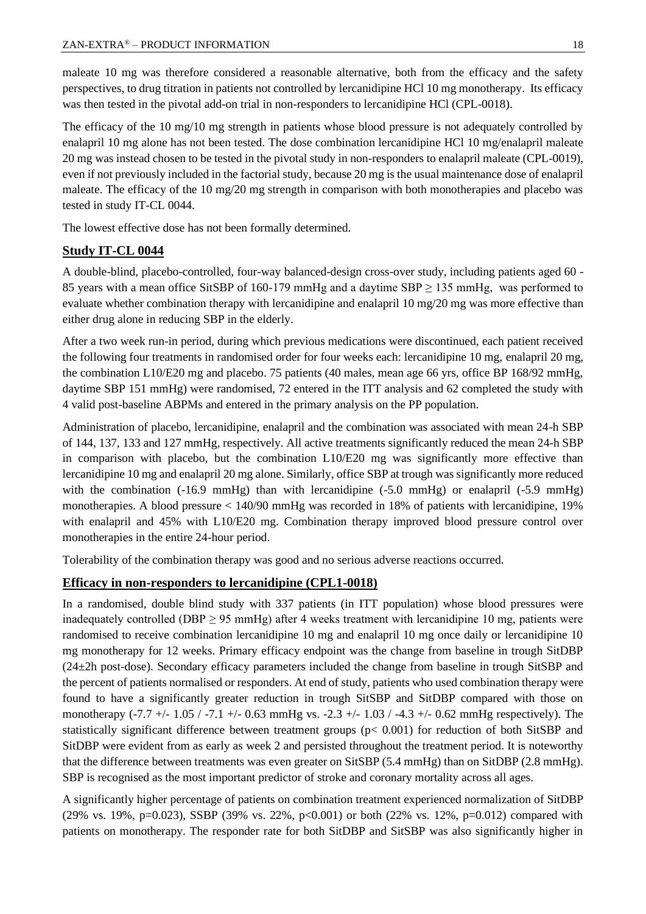maleate 10 mg was therefore considered a reasonable alternative, both from the efficacy and the safety perspectives, to drug titration in patients not controlled by lercanidipine HCl 10 mg monotherapy. Its efficacy was then tested in the pivotal add-on trial in non-responders to lercanidipine HCl (CPL-0018).

The efficacy of the 10 mg/10 mg strength in patients whose blood pressure is not adequately controlled by enalapril 10 mg alone has not been tested. The dose combination lercanidipine HCl 10 mg/enalapril maleate 20 mg was instead chosen to be tested in the pivotal study in non-responders to enalapril maleate (CPL-0019), even if not previously included in the factorial study, because 20 mg is the usual maintenance dose of enalapril maleate. The efficacy of the 10 mg/20 mg strength in comparison with both monotherapies and placebo was tested in study IT-CL 0044.

The lowest effective dose has not been formally determined.

#### **Study IT-CL 0044**

A double-blind, placebo-controlled, four-way balanced-design cross-over study, including patients aged 60 - 85 years with a mean office SitSBP of 160-179 mmHg and a daytime SBP  $\geq$  135 mmHg, was performed to evaluate whether combination therapy with lercanidipine and enalapril 10 mg/20 mg was more effective than either drug alone in reducing SBP in the elderly.

After a two week run-in period, during which previous medications were discontinued, each patient received the following four treatments in randomised order for four weeks each: lercanidipine 10 mg, enalapril 20 mg, the combination L10/E20 mg and placebo. 75 patients (40 males, mean age 66 yrs, office BP 168/92 mmHg, daytime SBP 151 mmHg) were randomised, 72 entered in the ITT analysis and 62 completed the study with 4 valid post-baseline ABPMs and entered in the primary analysis on the PP population.

Administration of placebo, lercanidipine, enalapril and the combination was associated with mean 24-h SBP of 144, 137, 133 and 127 mmHg, respectively. All active treatments significantly reduced the mean 24-h SBP in comparison with placebo, but the combination L10/E20 mg was significantly more effective than lercanidipine 10 mg and enalapril 20 mg alone. Similarly, office SBP at trough was significantly more reduced with the combination (-16.9 mmHg) than with lercanidipine (-5.0 mmHg) or enalapril (-5.9 mmHg) monotherapies. A blood pressure < 140/90 mmHg was recorded in 18% of patients with lercanidipine, 19% with enalapril and 45% with L10/E20 mg. Combination therapy improved blood pressure control over monotherapies in the entire 24-hour period.

Tolerability of the combination therapy was good and no serious adverse reactions occurred.

#### **Efficacy in non-responders to lercanidipine (CPL1-0018)**

In a randomised, double blind study with 337 patients (in ITT population) whose blood pressures were inadequately controlled (DBP  $\geq$  95 mmHg) after 4 weeks treatment with lercanidipine 10 mg, patients were randomised to receive combination lercanidipine 10 mg and enalapril 10 mg once daily or lercanidipine 10 mg monotherapy for 12 weeks. Primary efficacy endpoint was the change from baseline in trough SitDBP (24±2h post-dose). Secondary efficacy parameters included the change from baseline in trough SitSBP and the percent of patients normalised or responders. At end of study, patients who used combination therapy were found to have a significantly greater reduction in trough SitSBP and SitDBP compared with those on monotherapy (-7.7 +/- 1.05 / -7.1 +/- 0.63 mmHg vs. -2.3 +/- 1.03 / -4.3 +/- 0.62 mmHg respectively). The statistically significant difference between treatment groups (p< 0.001) for reduction of both SitSBP and SitDBP were evident from as early as week 2 and persisted throughout the treatment period. It is noteworthy that the difference between treatments was even greater on SitSBP (5.4 mmHg) than on SitDBP (2.8 mmHg). SBP is recognised as the most important predictor of stroke and coronary mortality across all ages.

A significantly higher percentage of patients on combination treatment experienced normalization of SitDBP (29% vs. 19%, p=0.023), SSBP (39% vs. 22%, p<0.001) or both (22% vs. 12%, p=0.012) compared with patients on monotherapy. The responder rate for both SitDBP and SitSBP was also significantly higher in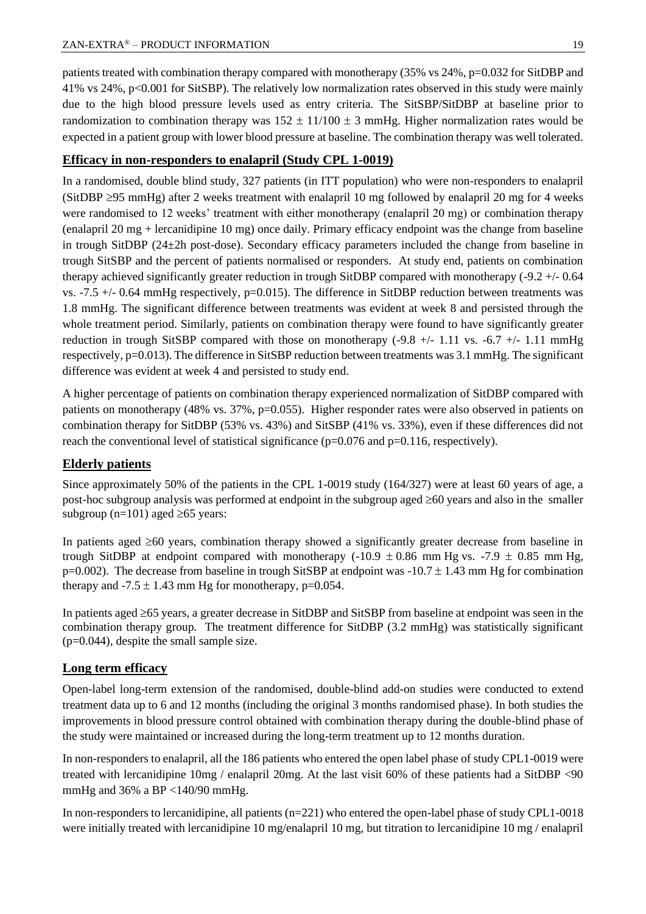patients treated with combination therapy compared with monotherapy (35% vs 24%, p=0.032 for SitDBP and 41% vs 24%, p<0.001 for SitSBP). The relatively low normalization rates observed in this study were mainly due to the high blood pressure levels used as entry criteria. The SitSBP/SitDBP at baseline prior to randomization to combination therapy was  $152 \pm 11/100 \pm 3$  mmHg. Higher normalization rates would be expected in a patient group with lower blood pressure at baseline. The combination therapy was well tolerated.

#### **Efficacy in non-responders to enalapril (Study CPL 1-0019)**

In a randomised, double blind study, 327 patients (in ITT population) who were non-responders to enalapril (SitDBP  $\geq$ 95 mmHg) after 2 weeks treatment with enalapril 10 mg followed by enalapril 20 mg for 4 weeks were randomised to 12 weeks' treatment with either monotherapy (enalapril 20 mg) or combination therapy (enalapril 20 mg + lercanidipine 10 mg) once daily. Primary efficacy endpoint was the change from baseline in trough SitDBP (24±2h post-dose). Secondary efficacy parameters included the change from baseline in trough SitSBP and the percent of patients normalised or responders. At study end, patients on combination therapy achieved significantly greater reduction in trough SitDBP compared with monotherapy (-9.2 +/- 0.64 vs.  $-7.5 +/- 0.64$  mmHg respectively,  $p=0.015$ ). The difference in SitDBP reduction between treatments was 1.8 mmHg. The significant difference between treatments was evident at week 8 and persisted through the whole treatment period. Similarly, patients on combination therapy were found to have significantly greater reduction in trough SitSBP compared with those on monotherapy  $(-9.8 +/- 1.11 \text{ vs. } -6.7 +/- 1.11 \text{ mmHg})$ respectively, p=0.013). The difference in SitSBP reduction between treatments was 3.1 mmHg. The significant difference was evident at week 4 and persisted to study end.

A higher percentage of patients on combination therapy experienced normalization of SitDBP compared with patients on monotherapy (48% vs. 37%, p=0.055). Higher responder rates were also observed in patients on combination therapy for SitDBP (53% vs. 43%) and SitSBP (41% vs. 33%), even if these differences did not reach the conventional level of statistical significance (p=0.076 and p=0.116, respectively).

#### **Elderly patients**

Since approximately 50% of the patients in the CPL 1-0019 study (164/327) were at least 60 years of age, a post-hoc subgroup analysis was performed at endpoint in the subgroup aged  $\geq 60$  years and also in the smaller subgroup ( $n=101$ ) aged  $\geq 65$  years:

In patients aged  $\geq 60$  years, combination therapy showed a significantly greater decrease from baseline in trough SitDBP at endpoint compared with monotherapy (-10.9  $\pm$  0.86 mm Hg vs. -7.9  $\pm$  0.85 mm Hg,  $p=0.002$ ). The decrease from baseline in trough SitSBP at endpoint was  $-10.7 \pm 1.43$  mm Hg for combination therapy and  $-7.5 \pm 1.43$  mm Hg for monotherapy, p=0.054.

In patients aged  $\geq$  65 years, a greater decrease in SitDBP and SitSBP from baseline at endpoint was seen in the combination therapy group. The treatment difference for SitDBP (3.2 mmHg) was statistically significant (p=0.044), despite the small sample size.

#### **Long term efficacy**

Open-label long-term extension of the randomised, double-blind add-on studies were conducted to extend treatment data up to 6 and 12 months (including the original 3 months randomised phase). In both studies the improvements in blood pressure control obtained with combination therapy during the double-blind phase of the study were maintained or increased during the long-term treatment up to 12 months duration.

In non-responders to enalapril, all the 186 patients who entered the open label phase of study CPL1-0019 were treated with lercanidipine 10mg / enalapril 20mg. At the last visit 60% of these patients had a SitDBP <90 mmHg and 36% a BP <140/90 mmHg.

In non-responders to lercanidipine, all patients  $(n=221)$  who entered the open-label phase of study CPL1-0018 were initially treated with lercanidipine 10 mg/enalapril 10 mg, but titration to lercanidipine 10 mg / enalapril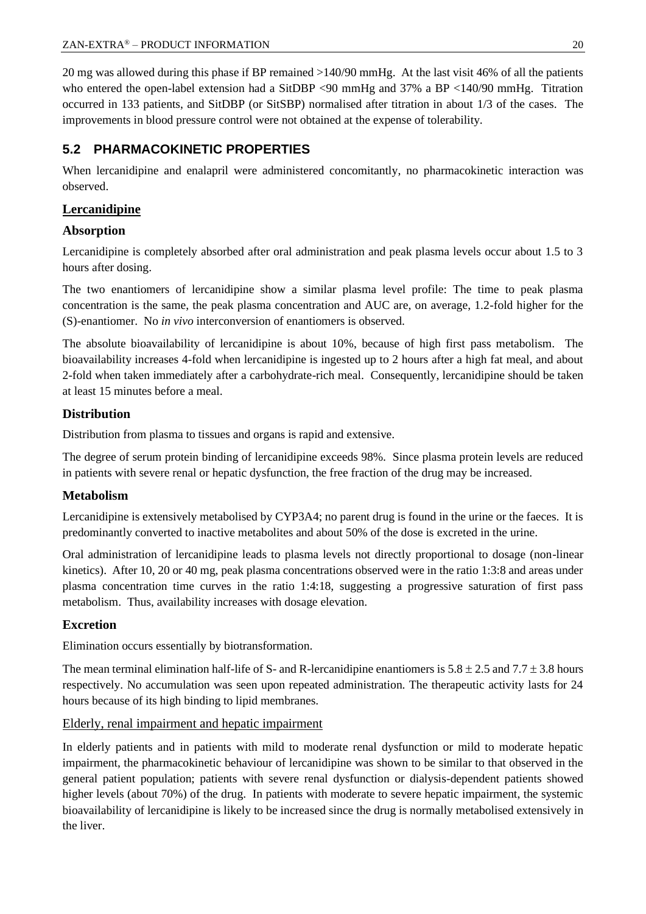20 mg was allowed during this phase if BP remained >140/90 mmHg. At the last visit 46% of all the patients who entered the open-label extension had a SitDBP <90 mmHg and 37% a BP <140/90 mmHg. Titration occurred in 133 patients, and SitDBP (or SitSBP) normalised after titration in about 1/3 of the cases. The improvements in blood pressure control were not obtained at the expense of tolerability.

## **5.2 PHARMACOKINETIC PROPERTIES**

When lercanidipine and enalapril were administered concomitantly, no pharmacokinetic interaction was observed.

## **Lercanidipine**

## **Absorption**

Lercanidipine is completely absorbed after oral administration and peak plasma levels occur about 1.5 to 3 hours after dosing.

The two enantiomers of lercanidipine show a similar plasma level profile: The time to peak plasma concentration is the same, the peak plasma concentration and AUC are, on average, 1.2-fold higher for the (S)-enantiomer. No *in vivo* interconversion of enantiomers is observed.

The absolute bioavailability of lercanidipine is about 10%, because of high first pass metabolism. The bioavailability increases 4-fold when lercanidipine is ingested up to 2 hours after a high fat meal, and about 2-fold when taken immediately after a carbohydrate-rich meal. Consequently, lercanidipine should be taken at least 15 minutes before a meal.

## **Distribution**

Distribution from plasma to tissues and organs is rapid and extensive.

The degree of serum protein binding of lercanidipine exceeds 98%. Since plasma protein levels are reduced in patients with severe renal or hepatic dysfunction, the free fraction of the drug may be increased.

#### **Metabolism**

Lercanidipine is extensively metabolised by CYP3A4; no parent drug is found in the urine or the faeces. It is predominantly converted to inactive metabolites and about 50% of the dose is excreted in the urine.

Oral administration of lercanidipine leads to plasma levels not directly proportional to dosage (non-linear kinetics). After 10, 20 or 40 mg, peak plasma concentrations observed were in the ratio 1:3:8 and areas under plasma concentration time curves in the ratio 1:4:18, suggesting a progressive saturation of first pass metabolism. Thus, availability increases with dosage elevation.

## **Excretion**

Elimination occurs essentially by biotransformation.

The mean terminal elimination half-life of S- and R-lercanidipine enantiomers is  $5.8 \pm 2.5$  and  $7.7 \pm 3.8$  hours respectively. No accumulation was seen upon repeated administration. The therapeutic activity lasts for 24 hours because of its high binding to lipid membranes.

#### Elderly, renal impairment and hepatic impairment

In elderly patients and in patients with mild to moderate renal dysfunction or mild to moderate hepatic impairment, the pharmacokinetic behaviour of lercanidipine was shown to be similar to that observed in the general patient population; patients with severe renal dysfunction or dialysis-dependent patients showed higher levels (about 70%) of the drug. In patients with moderate to severe hepatic impairment, the systemic bioavailability of lercanidipine is likely to be increased since the drug is normally metabolised extensively in the liver.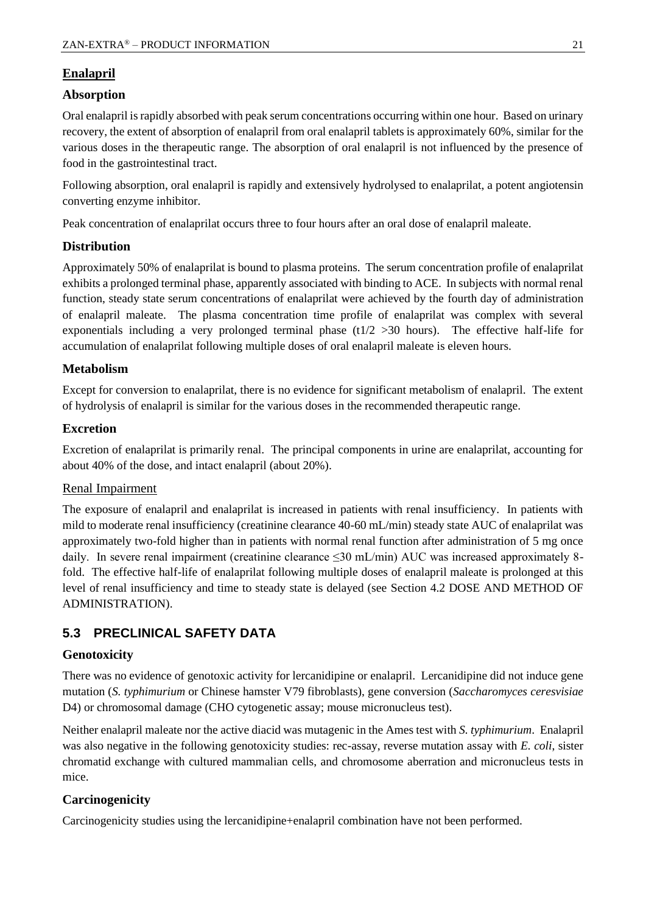## **Enalapril**

#### **Absorption**

Oral enalapril is rapidly absorbed with peak serum concentrations occurring within one hour. Based on urinary recovery, the extent of absorption of enalapril from oral enalapril tablets is approximately 60%, similar for the various doses in the therapeutic range. The absorption of oral enalapril is not influenced by the presence of food in the gastrointestinal tract.

Following absorption, oral enalapril is rapidly and extensively hydrolysed to enalaprilat, a potent angiotensin converting enzyme inhibitor.

Peak concentration of enalaprilat occurs three to four hours after an oral dose of enalapril maleate.

#### **Distribution**

Approximately 50% of enalaprilat is bound to plasma proteins. The serum concentration profile of enalaprilat exhibits a prolonged terminal phase, apparently associated with binding to ACE. In subjects with normal renal function, steady state serum concentrations of enalaprilat were achieved by the fourth day of administration of enalapril maleate. The plasma concentration time profile of enalaprilat was complex with several exponentials including a very prolonged terminal phase  $(t1/2 > 30$  hours). The effective half-life for accumulation of enalaprilat following multiple doses of oral enalapril maleate is eleven hours.

## **Metabolism**

Except for conversion to enalaprilat, there is no evidence for significant metabolism of enalapril. The extent of hydrolysis of enalapril is similar for the various doses in the recommended therapeutic range.

## **Excretion**

Excretion of enalaprilat is primarily renal. The principal components in urine are enalaprilat, accounting for about 40% of the dose, and intact enalapril (about 20%).

#### Renal Impairment

The exposure of enalapril and enalaprilat is increased in patients with renal insufficiency. In patients with mild to moderate renal insufficiency (creatinine clearance 40-60 mL/min) steady state AUC of enalaprilat was approximately two-fold higher than in patients with normal renal function after administration of 5 mg once daily. In severe renal impairment (creatinine clearance ≤30 mL/min) AUC was increased approximately 8fold. The effective half-life of enalaprilat following multiple doses of enalapril maleate is prolonged at this level of renal insufficiency and time to steady state is delayed (see Section 4.2 DOSE AND METHOD OF ADMINISTRATION).

## **5.3 PRECLINICAL SAFETY DATA**

#### **Genotoxicity**

There was no evidence of genotoxic activity for lercanidipine or enalapril. Lercanidipine did not induce gene mutation (*S. typhimurium* or Chinese hamster V79 fibroblasts), gene conversion (*Saccharomyces ceresvisiae* D4) or chromosomal damage (CHO cytogenetic assay; mouse micronucleus test).

Neither enalapril maleate nor the active diacid was mutagenic in the Ames test with *S. typhimurium*. Enalapril was also negative in the following genotoxicity studies: rec-assay, reverse mutation assay with *E. coli*, sister chromatid exchange with cultured mammalian cells, and chromosome aberration and micronucleus tests in mice.

## **Carcinogenicity**

Carcinogenicity studies using the lercanidipine+enalapril combination have not been performed.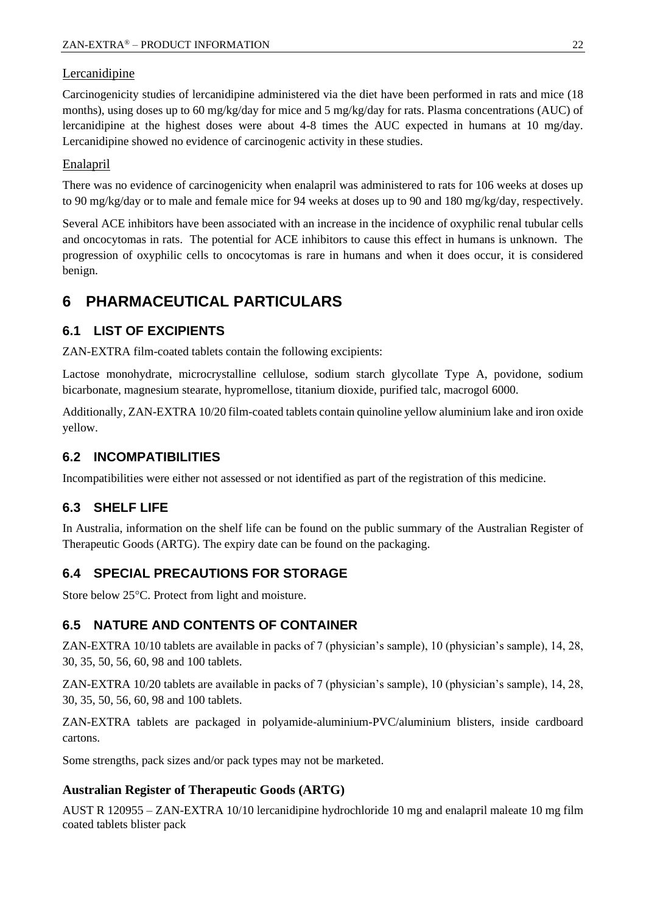#### Lercanidipine

Carcinogenicity studies of lercanidipine administered via the diet have been performed in rats and mice (18 months), using doses up to 60 mg/kg/day for mice and 5 mg/kg/day for rats. Plasma concentrations (AUC) of lercanidipine at the highest doses were about 4-8 times the AUC expected in humans at 10 mg/day. Lercanidipine showed no evidence of carcinogenic activity in these studies.

#### Enalapril

There was no evidence of carcinogenicity when enalapril was administered to rats for 106 weeks at doses up to 90 mg/kg/day or to male and female mice for 94 weeks at doses up to 90 and 180 mg/kg/day, respectively.

Several ACE inhibitors have been associated with an increase in the incidence of oxyphilic renal tubular cells and oncocytomas in rats. The potential for ACE inhibitors to cause this effect in humans is unknown. The progression of oxyphilic cells to oncocytomas is rare in humans and when it does occur, it is considered benign.

## **6 PHARMACEUTICAL PARTICULARS**

## **6.1 LIST OF EXCIPIENTS**

ZAN-EXTRA film-coated tablets contain the following excipients:

Lactose monohydrate, microcrystalline cellulose, sodium starch glycollate Type A, povidone, sodium bicarbonate, magnesium stearate, hypromellose, titanium dioxide, purified talc, macrogol 6000.

Additionally, ZAN-EXTRA 10/20 film-coated tablets contain quinoline yellow aluminium lake and iron oxide yellow.

## **6.2 INCOMPATIBILITIES**

Incompatibilities were either not assessed or not identified as part of the registration of this medicine.

## **6.3 SHELF LIFE**

In Australia, information on the shelf life can be found on the public summary of the Australian Register of Therapeutic Goods (ARTG). The expiry date can be found on the packaging.

## **6.4 SPECIAL PRECAUTIONS FOR STORAGE**

Store below 25°C. Protect from light and moisture.

## **6.5 NATURE AND CONTENTS OF CONTAINER**

ZAN-EXTRA 10/10 tablets are available in packs of 7 (physician's sample), 10 (physician's sample), 14, 28, 30, 35, 50, 56, 60, 98 and 100 tablets.

ZAN-EXTRA 10/20 tablets are available in packs of 7 (physician's sample), 10 (physician's sample), 14, 28, 30, 35, 50, 56, 60, 98 and 100 tablets.

ZAN-EXTRA tablets are packaged in polyamide-aluminium-PVC/aluminium blisters, inside cardboard cartons.

Some strengths, pack sizes and/or pack types may not be marketed.

#### **Australian Register of Therapeutic Goods (ARTG)**

AUST R 120955 – ZAN-EXTRA 10/10 lercanidipine hydrochloride 10 mg and enalapril maleate 10 mg film coated tablets blister pack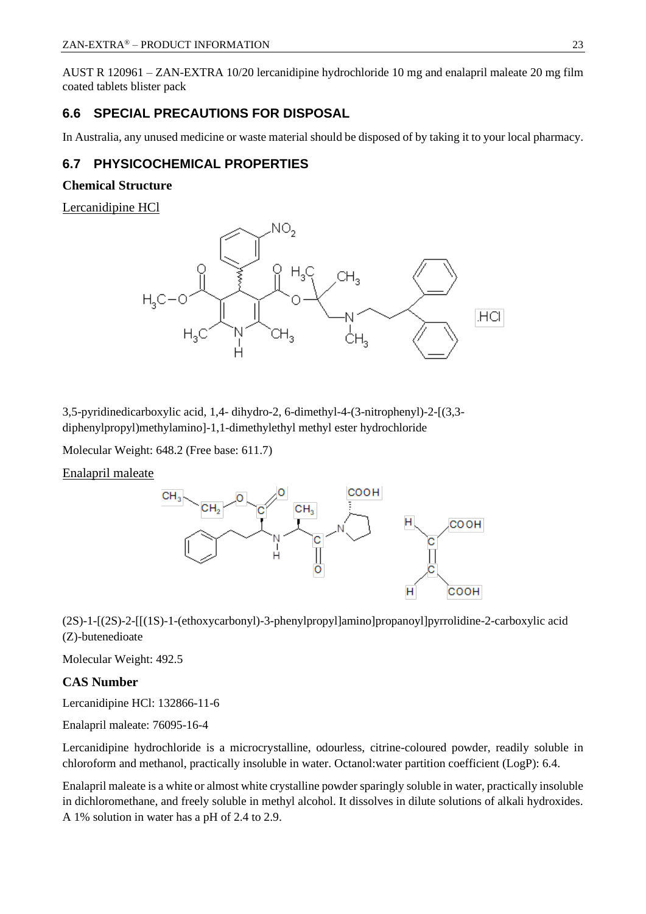AUST R 120961 – ZAN-EXTRA 10/20 lercanidipine hydrochloride 10 mg and enalapril maleate 20 mg film coated tablets blister pack

## **6.6 SPECIAL PRECAUTIONS FOR DISPOSAL**

In Australia, any unused medicine or waste material should be disposed of by taking it to your local pharmacy.

## **6.7 PHYSICOCHEMICAL PROPERTIES**

#### **Chemical Structure**

Lercanidipine HCl



3,5-pyridinedicarboxylic acid, 1,4- dihydro-2, 6-dimethyl-4-(3-nitrophenyl)-2-[(3,3 diphenylpropyl)methylamino]-1,1-dimethylethyl methyl ester hydrochloride

Molecular Weight: 648.2 (Free base: 611.7)

Enalapril maleate



(2S)-1-[(2S)-2-[[(1S)-1-(ethoxycarbonyl)-3-phenylpropyl]amino]propanoyl]pyrrolidine-2-carboxylic acid (Z)-butenedioate

Molecular Weight: 492.5

#### **CAS Number**

Lercanidipine HCl: 132866-11-6

Enalapril maleate: 76095-16-4

Lercanidipine hydrochloride is a microcrystalline, odourless, citrine-coloured powder, readily soluble in chloroform and methanol, practically insoluble in water. Octanol:water partition coefficient (LogP): 6.4.

Enalapril maleate is a white or almost white crystalline powder sparingly soluble in water, practically insoluble in dichloromethane, and freely soluble in methyl alcohol. It dissolves in dilute solutions of alkali hydroxides. A 1% solution in water has a pH of 2.4 to 2.9.